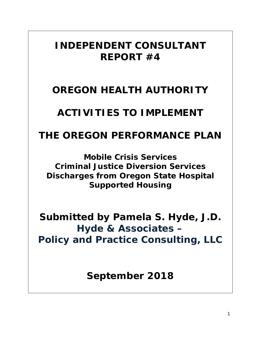# *INDEPENDENT CONSULTANT REPORT #4*

# *OREGON HEALTH AUTHORITY*

# *ACTIVITIES TO IMPLEMENT*

# *THE OREGON PERFORMANCE PLAN*

*Mobile Crisis Services Criminal Justice Diversion Services Discharges from Oregon State Hospital Supported Housing*

*Submitted by Pamela S. Hyde, J.D. Hyde & Associates – Policy and Practice Consulting, LLC*

*September 2018*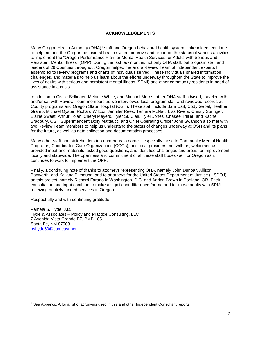# **ACKNOWLEDGEMENTS**

Many Oregon Health Authority (OHA)<sup>[1](#page-1-0)</sup> staff and Oregon behavioral health system stakeholders continue to help me and the Oregon behavioral health system improve and report on the status of various activities to implement the "Oregon Performance Plan for Mental Health Services for Adults with Serious and Persistent Mental Illness" (OPP). During the last few months, not only OHA staff, but program staff and leaders of 29 Counties throughout Oregon helped me and a Review Team of independent experts I assembled to review programs and charts of individuals served. These individuals shared information, challenges, and materials to help us learn about the efforts underway throughout the State to improve the lives of adults with serious and persistent mental illness (SPMI) and other community residents in need of assistance in a crisis.

In addition to Cissie Bollinger, Melanie White, and Michael Morris, other OHA staff advised, traveled with, and/or sat with Review Team members as we interviewed local program staff and reviewed records at County programs and Oregon State Hospital (OSH). These staff include Sam Carl, Cody Gabel, Heather Gramp, Michael Oyster, Richard Wilcox, Jennifer Rees, Tamara McNatt, Lisa Rivers, Christy Springer, Elaine Sweet, Arthur Tolan, Cheryl Meyers, Tyler St. Clair, Tyler Jones, Chasee Trillier, and Rachel Bradbury. OSH Superintendent Dolly Matteucci and Chief Operating Officer John Swanson also met with two Review Team members to help us understand the status of changes underway at OSH and its plans for the future, as well as data collection and documentation processes.

Many other staff and stakeholders too numerous to name – especially those in Community Mental Health Programs, Coordinated Care Organizations (CCOs), and local providers met with us, welcomed us, provided input and materials, asked good questions, and identified challenges and areas for improvement locally and statewide. The openness and commitment of all these staff bodes well for Oregon as it continues to work to implement the OPP.

Finally, a continuing note of thanks to attorneys representing OHA, namely John Dunbar, Allison Banwarth, and Kailana Piimauna, and to attorneys for the United States Department of Justice (USDOJ) on this project, namely Richard Farano in Washington, D.C. and Adrian Brown in Portland, OR. Their consultation and input continue to make a significant difference for me and for those adults with SPMI receiving publicly funded services in Oregon.

Respectfully and with continuing gratitude,

Pamela S. Hyde, J.D. Hyde & Associates – Policy and Practice Consulting, LLC 7 Avenida Vista Grande B7, PMB 185 Santa Fe, NM 87508 [pshyde50@comcast.net](mailto:pshyde50@comcast.net)

<span id="page-1-0"></span> <sup>1</sup> See Appendix A for a list of acronyms used in this and other Independent Consultant reports.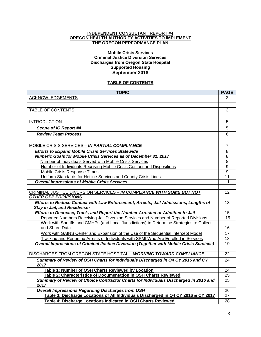#### **INDEPENDENT CONSULTANT REPORT #4 OREGON HEALTH AUTHORITY ACTIVITIES TO IMPLEMENT THE OREGON PERFORMANCE PLAN**

#### **Mobile Crisis Services Criminal Justice Diversion Services Discharges from Oregon State Hospital Supported Housing September 2018**

# **TABLE OF CONTENTS**

| <b>TOPIC</b>                                                                                 | <b>PAGE</b>     |
|----------------------------------------------------------------------------------------------|-----------------|
| <b>ACKNOWLEDGEMENTS</b>                                                                      | 2               |
|                                                                                              |                 |
| TABLE OF CONTENTS                                                                            | 3               |
|                                                                                              |                 |
| <b>INTRODUCTION</b>                                                                          | 5               |
| Scope of IC Report #4                                                                        | 5               |
| <b>Review Team Process</b>                                                                   | 6               |
|                                                                                              |                 |
| <b>MOBILE CRISIS SERVICES - IN PARTIAL COMPLIANCE</b>                                        | 7               |
| <b>Efforts to Expand Mobile Crisis Services Statewide</b>                                    | 8               |
| Numeric Goals for Mobile Crisis Services as of December 31, 2017                             | 8               |
| Number of Individuals Served with Mobile Crisis Services                                     | 8               |
| Number of Individuals Receiving Mobile Crisis Contact and Dispositions                       | $\overline{9}$  |
| Mobile Crisis Response Times                                                                 | 9               |
| Uniform Standards for Hotline Services and County Crisis Lines                               | 11              |
| <b>Overall Impressions of Mobile Crisis Services</b>                                         | 11              |
|                                                                                              |                 |
| CRIMINAL JUSTICE DIVERSION SERVICES - IN COMPLIANCE WITH SOME BUT NOT                        | 12              |
| <b>OTHER OPP PROVISIONS</b>                                                                  |                 |
| Efforts to Reduce Contact with Law Enforcement, Arrests, Jail Admissions, Lengths of         | 13              |
| <b>Stay in Jail, and Recidivism</b>                                                          |                 |
| Efforts to Decrease, Track, and Report the Number Arrested or Admitted to Jail               | 15              |
| Reported Numbers Receiving Jail Diversion Services and Number of Reported Divisions          | $\overline{15}$ |
| Work with Sheriffs and CMHPs (and Local Jurisdictions) to Determine Strategies to Collect    |                 |
| and Share Data                                                                               | 16              |
| Work with GAINS Center and Expansion of the Use of the Sequential Intercept Model            | $\overline{17}$ |
| Tracking and Reporting Arrests of Individuals with SPMI Who Are Enrolled in Services         | 18              |
| Overall Impressions of Criminal Justice Diversion (Together with Mobile Crisis Services)     | $\overline{19}$ |
|                                                                                              |                 |
| DISCHARGES FROM OREGON STATE HOSPITAL - WORKING TOWARD COMPLIANCE                            | $\overline{22}$ |
| Summary of Review of OSH Charts for Individuals Discharged in Q4 CY 2016 and CY<br>2017      | 24              |
| Table 1: Number of OSH Charts Reviewed by Location                                           | 24              |
| Table 2: Characteristics of Documentation in OSH Charts Reviewed                             | $\overline{25}$ |
| Summary of Review of Choice Contractor Charts for Individuals Discharged in 2016 and<br>2017 | $\overline{25}$ |
| <b>Overall Impressions Regarding Discharges from OSH</b>                                     | 26              |
| Table 3: Discharge Locations of All Individuals Discharged in Q4 CY 2016 & CY 2017           | $\overline{27}$ |
| Table 4: Discharge Locations Indicated in OSH Charts Reviewed                                | 28              |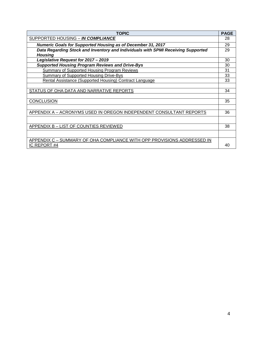| <b>TOPIC</b>                                                                     | <b>PAGE</b> |
|----------------------------------------------------------------------------------|-------------|
| SUPPORTED HOUSING - IN COMPLIANCE                                                | 28          |
| <b>Numeric Goals for Supported Housing as of December 31, 2017</b>               | 29          |
| Data Regarding Stock and Inventory and Individuals with SPMI Receiving Supported | 29          |
| <b>Housing</b>                                                                   |             |
| Legislative Request for 2017 - 2019                                              | 30          |
| <b>Supported Housing Program Reviews and Drive-Bys</b>                           | 30          |
| <b>Summary of Supported Housing Program Reviews</b>                              | 31          |
| <b>Summary of Supported Housing Drive-Bys</b>                                    | 33          |
| Rental Assistance (Supported Housing) Contract Language                          | 33          |
|                                                                                  |             |
| STATUS OF OHA DATA AND NARRATIVE REPORTS                                         | 34          |
|                                                                                  |             |
| <b>CONCLUSION</b>                                                                | 35          |
|                                                                                  |             |
| APPENDIX A - ACRONYMS USED IN OREGON INDEPENDENT CONSULTANT REPORTS              | 36          |
|                                                                                  |             |
| APPENDIX B - LIST OF COUNTIES REVIEWED                                           | 38          |
|                                                                                  |             |
| APPENDIX C - SUMMARY OF OHA COMPLIANCE WITH OPP PROVISIONS ADDRESSED IN          |             |
| IC REPORT #4                                                                     | 40          |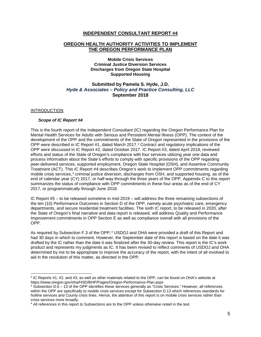# **INDEPENDENT CONSULTANT REPORT #4**

#### **OREGON HEALTH AUTHORITY ACTIVITIES TO IMPLEMENT THE OREGON PERFORMANCE PLAN**

**Mobile Crisis Services Criminal Justice Diversion Services Discharges from Oregon State Hospital Supported Housing**

# **Submitted by Pamela S. Hyde, J.D.** *Hyde & Associates – Policy and Practice Consulting, LLC* **September 2018**

#### INTRODUCTION

#### *Scope of IC Report #4*

This is the fourth report of the Independent Consultant (IC) regarding the Oregon Performance Plan for Mental Health Services for Adults with Serious and Persistent Mental Illness (OPP). The context of the development of the OPP and the commitments of the State of Oregon represented in the provisions of the OPP were described in IC Report #1, dated March [2](#page-4-0)017.<sup>2</sup> Contract and regulatory implications of the OPP were discussed in IC Report #2, dated October 2017. IC Report #3, dated April 2018, reviewed efforts and status of the State of Oregon's compliance with four services utilizing year one data and process information about the State's efforts to comply with specific provisions of the OPP regarding peer-delivered services, supported employment, Oregon State Hospital (OSH), and Assertive Community Treatment (ACT). This IC Report #4 describes Oregon's work to implement OPP commitments regarding mobile crisis services,<sup>[3](#page-4-1)</sup> criminal justice diversion, discharges from OSH, and supported housing, as of the end of calendar year (CY) 2017, or half-way through the three years of the OPP. Appendix C to this report summarizes the status of compliance with OPP commitments in these four areas as of the end of CY 2017, or programmatically through June 2018.

IC Report #5 – to be released sometime in mid-2019 – will address the three remaining subsections of the ten (10) Performance Outcomes in Section D of the OPP, namely acute psychiatric care, emergency departments, and secure residential treatment facilities. The sixth IC report, to be released in 2020, after the State of Oregon's final narrative and data report is released, will address Quality and Performance Improvement commitments in OPP Section E as well as compliance overall with all provisions of the OPP.

As required by Subsection F.3 of the OPP,<sup>[4](#page-4-2)</sup> USDOJ and OHA were provided a draft of this Report and had 30 days in which to comment. However, the September date of this report is based on the date it was drafted by the IC rather than the date it was finalized after the 30-day review. This report is the IC's work product and represents my judgments as IC. It has been revised to reflect comments of USDOJ and OHA determined by me to be appropriate to improve the accuracy of the report, with the intent of all involved to aid in the resolution of this matter, as directed in the OPP.

<span id="page-4-0"></span> $2$  IC Reports #1, #2, and #3, as well as other materials related to the OPP, can be found on OHA's website at https://www.oregon.gov/oha/HSD/BHP/Pages/Oregon-Performance-Plan.aspx

<span id="page-4-1"></span> $3$  Subsection D.6 – 13 of the OPP identifies these services generally as "Crisis Services." However, all references within the OPP are specifically to *mobile* crisis services except for Subsection D.13 which references standards for hotline services and County crisis lines. Hence, the attention of this report is on mobile crisis services rather than crisis services more broadly.

<span id="page-4-2"></span><sup>&</sup>lt;sup>4</sup> All references in this report to Subsections are to the OPP unless otherwise noted in the text.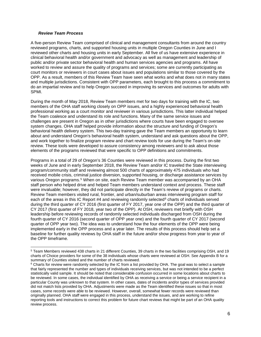#### *Review Team Process*

A five-person Review Team comprised of clinical and management consultants from around the country reviewed programs, charts, and supported housing units in multiple Oregon Counties in June and I reviewed other charts and housing units in early September. All five of us have extensive experience in clinical behavioral health and/or government and advocacy as well as management and leadership of public and/or private sector behavioral health and human services agencies and programs. All have worked to review and assure the quality of programs and services; some are currently participating as court monitors or reviewers in court cases about issues and populations similar to those covered by the OPP. As a result, members of this Review Team have seen what works and what does not in many states and multiple jurisdictions. Consistent with OPP parameters, each brought to this process a commitment to do an impartial review and to help Oregon succeed in improving its services and outcomes for adults with SPMI.

During the month of May 2018, Review Team members met for two days for training with the IC, two members of the OHA staff working closely on OPP issues, and a highly experienced behavioral health professional working as a court monitor and reviewer in various jurisdictions. This latter individual helped the Team coalesce and understand its role and functions. Many of the same service issues and challenges are present in Oregon as in other jurisdictions where courts have been engaged to oversee system changes. OHA staff helped provide information about the structure and funding of Oregon's behavioral health delivery system. This two-day training gave the Team members an opportunity to learn about and understand Oregon's behavioral health system, understand and ask questions about the OPP, and work together to finalize program review and chart review tools for use during the Team's on-site review. These tools were developed to assure consistency among reviewers and to ask about those elements of the programs reviewed that were specific to OPP definitions and commitments.

Programs in a total of 29 of Oregon's 36 Counties were reviewed in this process. During the first two weeks of June and in early September 2018, the Review Team and/or IC traveled the State interviewing program/community staff and reviewing almost 500 charts of approximately 475 individuals who had received mobile crisis, criminal justice diversion, supported housing, or discharge assistance services by various Oregon programs.<sup>[5](#page-5-0)</sup> When on site, each Review Team member was accompanied by an OHA staff person who helped drive and helped Team members understand context and process. These staff were invaluable; however, they did not participate directly in the Team's review of programs or charts. Review Team members visited rural, frontier, and urban/suburban areas interviewing program staff for each of the areas in this IC Report #4 and reviewing randomly selected<sup>[6](#page-5-1)</sup> charts of individuals served during the third quarter of CY 2016 (first quarter of FY 2017, year one of the OPP) and the third quarter of CY 2017 (first quarter of FY 2018, year two of the OPP). At OSH, reviewers met briefly with OSH leadership before reviewing records of randomly selected individuals discharged from OSH during the fourth quarter of CY 2016 (second quarter of OPP year one) and the fourth quarter of CY 2017 (second quarter of OPP year two). The idea was to understand how the four elements of the OPP were being implemented early in the OPP process and a year later. The results of this process should help set a baseline for further quality reviews by OHA staff in the future and/or show progress from year to year of the OPP timeframe.

<span id="page-5-0"></span> <sup>5</sup> Team Members reviewed 438 charts in 21 different Counties, 39 charts in the two facilities comprising OSH, and 19 charts of Choice providers for some of the 38 individuals whose charts were reviewed at OSH. See Appendix B for a summary of Counties visited and the number of charts reviewed.

<span id="page-5-1"></span><sup>&</sup>lt;sup>6</sup> Charts for review were randomly selected by the IC from a list provided by OHA. The goal was to select a sample that fairly represented the number and types of individuals receiving services, but was not intended to be a perfect statistically valid sample. It should be noted that considerable confusion occurred in some locations about charts to be reviewed. In some cases, the individual identified by OHA as receiving a service or being a service recipient in a particular County was unknown to that system. In other cases, dates of incidents and/or types of services provided did not match lists provided by OHA. Adjustments were made as the Team identified these issues so that in most cases, some records were able to be reviewed. However, overall, somewhat fewer records were reviewed than originally planned. OHA staff were engaged in this process, understand the issues, and are working to refine reporting tools and instructions to correct this problem for future chart reviews that might be part of an OHA quality review process.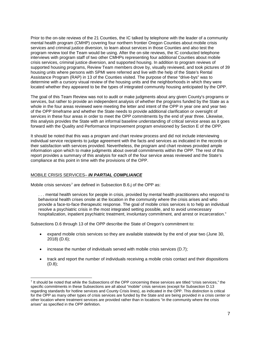Prior to the on-site reviews of the 21 Counties, the IC talked by telephone with the leader of a community mental health program (CMHP) covering four northern frontier Oregon Counties about mobile crisis services and criminal justice diversion, to learn about services in those Counties and also test the program review tool the Team would be using. After the on-site reviews, the IC conducted telephone interviews with program staff of two other CMHPs representing four additional Counties about mobile crisis services, criminal justice diversion, and supported housing. In addition to program reviews of supported housing programs, Review Team members drove by, visually reviewed, and took pictures of 39 housing units where persons with SPMI were referred and live with the help of the State's Rental Assistance Program (RAP) in 13 of the Counties visited. The purpose of these "drive-bys" was to determine with a cursory visual review of the housing units and the neighborhoods in which they were located whether they appeared to be the types of integrated community housing anticipated by the OPP.

The goal of this Team Review was not to audit or make judgments about any given County's programs or services, but rather to provide an independent analysis of whether the programs funded by the State as a whole in the four areas reviewed were meeting the letter and intent of the OPP in year one and year two of the OPP timeframe and whether the State needs to provide additional clarification or oversight of services in these four areas in order to meet the OPP commitments by the end of year three. Likewise, this analysis provides the State with an informal baseline understanding of critical service areas as it goes forward with the Quality and Performance Improvement program envisioned by Section E of the OPP.

It should be noted that this was a program and chart review process and did not include interviewing individual service recipients to judge agreement with the facts and services as indicated in the records or their satisfaction with services provided. Nevertheless, the program and chart reviews provided ample information upon which to make judgments about overall commitments within the OPP. The rest of this report provides a summary of this analysis for each of the four service areas reviewed and the State's compliance at this point in time with the provisions of the OPP.

#### MOBILE CRISIS SERVICES– *IN PARTIAL COMPLIANCE*

Mobile crisis services<sup>[7](#page-6-0)</sup> are defined in Subsection B.6.j of the OPP as:

. . . mental health services for people in crisis, provided by mental health practitioners who respond to behavioral health crises onsite at the location in the community where the crisis arises and who provide a face-to-face therapeutic response. The goal of mobile crisis services is to help an individual resolve a psychiatric crisis in the most integrated setting possible, and to avoid unnecessary hospitalization, inpatient psychiatric treatment, involuntary commitment, and arrest or incarceration."

Subsections D.6 through 13 of the OPP describe the State of Oregon's commitment to:

- expand mobile crisis services so they are available statewide by the end of year two (June 30, 2018) (D.6);
- increase the number of individuals served with mobile crisis services (D.7);
- track and report the number of individuals receiving a mobile crisis contact and their dispositions (D.8);

<span id="page-6-0"></span> $<sup>7</sup>$  It should be noted that while the Subsections of the OPP concerning these services are titled "crisis services." the</sup> specific commitments in these Subsections are all about "mobile" crisis services (except for Subsection D.13 regarding standards for hotline services and County Crisis lines), as indicated in the OPP. This distinction is critical for the OPP as many other types of crisis services are funded by the State and are being provided in a crisis center or other location where treatment services are provided rather than in locations "in the community where the crisis arises" as specified in the OPP definition.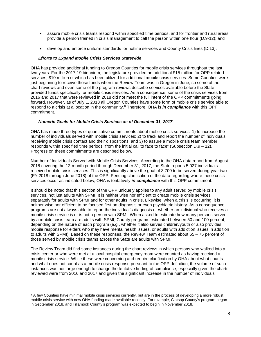- assure mobile crisis teams respond within specified time periods, and for frontier and rural areas, provide a person trained in crisis management to call the person within one hour (D.9-12); and
- develop and enforce uniform standards for hotline services and County Crisis lines (D.13).

#### *Efforts to Expand Mobile Crisis Services Statewide*

OHA has provided additional funding to Oregon Counties for mobile crisis services throughout the last two years. For the 2017-19 biennium, the legislature provided an additional \$15 million for OPP related services, \$10 million of which has been utilized for additional mobile crisis services. Some Counties were just beginning to receive those funds when the Review Team was in Oregon in June, so some of the chart reviews and even some of the program reviews describe services available before the State provided funds specifically for mobile crisis services. As a consequence, some of the crisis services from 2016 and 2017 that were reviewed in 2018 did not meet the full intent of the OPP commitments going forward. However, as of July 1, 2018 all Oregon Counties have some form of mobile crisis service able to respond to a crisis at a location in the community.[8](#page-7-0) Therefore, OHA is *in compliance* with this OPP commitment.

#### *Numeric Goals for Mobile Crisis Services as of December 31, 2017*

OHA has made three types of quantitative commitments about mobile crisis services: 1) to increase the number of individuals served with mobile crisis services; 2) to track and report the number of individuals receiving mobile crisis contact and their dispositions; and 3) to assure a mobile crisis team member responds within specified time periods "from the initial call to face to face" (Subsection  $D.9 - 12$ ). Progress on these commitments are described below.

Number of Individuals Served with Mobile Crisis Services: According to the OHA data report from August 2018 covering the 12-month period through December 31, 2017, the State reports 5,027 individuals received mobile crisis services. This is significantly above the goal of 3,700 to be served during year two (FY 2018 through June 2018) of the OPP. Pending clarification of the data regarding where these crisis services occur as indicated below, OHA is tentatively *in compliance* with this OPP commitment.

It should be noted that this section of the OPP uniquely applies to any adult served by mobile crisis services, not just adults with SPMI. It is neither wise nor efficient to create mobile crisis services separately for adults with SPMI and for other adults in crisis. Likewise, when a crisis is occurring, it is neither wise nor efficient to be focused first on diagnosis or even psychiatric history. As a consequence, programs are not always able to report the individual's diagnosis or whether an individual who receives a mobile crisis service is or is not a person with SPMI. When asked to estimate how many persons served by a mobile crisis team are adults with SPMI, County programs estimated between 50 and 100 percent, depending on the nature of each program (e.g., whether it also serves children/youth or also provides mobile response for elders who may have mental health issues, or adults with addiction issues in addition to adults with SPMI). Based on these responses, the Review Team estimated about 65 – 75 percent of those served by mobile crisis teams across the State are adults with SPMI.

The Review Team did find some instances during the chart reviews in which persons who walked into a crisis center or who were met at a local hospital emergency room were counted as having received a mobile crisis service. While these were concerning and require clarification by OHA about what counts and what does not count as a mobile crisis response pursuant to the OPP definition, the volume of such instances was not large enough to change the tentative finding of compliance, especially given the charts reviewed were from 2016 and 2017 and given the significant increase in the number of individuals

<span id="page-7-0"></span><sup>&</sup>lt;sup>8</sup> A few Counties have minimal mobile crisis services currently, but are in the process of developing a more robust mobile crisis service with new OHA funding made available recently. For example, Clatsop County's program began in September 2018, and Tillamook County's program was expected to begin in November 2018.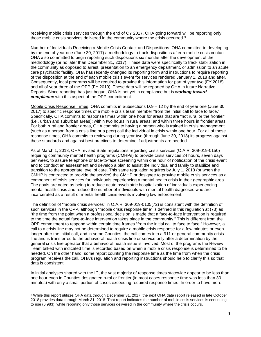receiving mobile crisis services through the end of CY 2017. OHA going forward will be reporting only those mobile crisis services delivered in the community where the crisis occurred.[9](#page-8-0)

Number of Individuals Receiving a Mobile Crisis Contact and Dispositions: OHA committed to developing by the end of year one (June 30, 2017) a methodology to track dispositions after a mobile crisis contact. OHA also committed to begin reporting such dispositions six months after the development of the methodology (or no later than December 31, 2017). These data were specifically to track stabilization in the community as opposed to arrest, presentation to an emergency department, or admission to an acute care psychiatric facility. OHA has recently changed its reporting form and instructions to require reporting of the disposition at the end of each mobile crisis event for services rendered January 1, 2018 and after. Consequently, local programs will be required to provide this information for part of year two (FY 2018) and all of year three of the OPP (FY 2019). These data will be reported by OHA in future Narrative Reports. Since reporting has just begun, OHA is not yet in compliance but is *working toward compliance* with this aspect of the OPP commitment.

Mobile Crisis Response Times: OHA commits in Subsections D.9 – 12 by the end of year one (June 30, 2017) to specific response times of a mobile crisis team member "from the initial call to face to face." Specifically, OHA commits to response times within one hour for areas that are "not rural or the frontier" (i.e., urban and suburban areas); within two hours in rural areas; and within three hours in frontier areas. For both rural and frontier areas, OHA commits to having a person who is trained in crisis management (such as a person from a crisis line or a peer) call the individual in crisis within one hour. For all of these response times, OHA commits to reviewing during year two (through June 30, 2018) its progress against these standards and against best practices to determine if adjustments are needed.

As of March 1, 2018, OHA revised State regulations regarding crisis services (O.A.R. 309-019-0150) requiring community mental health programs (CMHPs) to provide crisis services 24 hours, seven days per week, to assure telephone or face-to-face screening within one hour of notification of the crisis event and to conduct an assessment and develop a plan to assist the individual and family to stabilize and transition to the appropriate level of care. This same regulation requires by July 1, 2018 (or when the CMHP is contracted to provide the service) the CMHP or designee to provide mobile crisis services as a component of crisis services for individuals experiencing a mental health crisis in their geographic area. The goals are noted as being to reduce acute psychiatric hospitalization of individuals experiencing mental health crisis and reduce the number of individuals with mental health diagnoses who are incarcerated as a result of mental health crisis events involving law enforcement.

The definition of "mobile crisis services" in O.A.R. 309-019-0105(72) is consistent with the definition of such services in the OPP, although "mobile crisis response time" is defined in this regulation at (73) as "the time from the point when a professional decision is made that a face-to-face intervention is required to the time the actual face-to-face intervention takes place in the community." This is different from the OPP commitment to respond within certain time frames "from the initial call to face to face." However, a call to a crisis line may not be determined to require a mobile crisis response for a few minutes or even longer after the initial call, and in some Counties, the call comes into a 911 or general community crisis line and is transferred to the behavioral health crisis line or service only after a determination by the general crisis line operator that a behavioral health issue is involved. Most of the programs the Review Team talked with indicated time is recorded based on when a mobile crisis response is determined to be needed. On the other hand, some report counting the response time as the time from when the crisis program receives the call. OHA's regulation and reporting instructions should help to clarify this so that data is consistent.

In initial analyses shared with the IC, the vast majority of response times statewide appear to be less than one hour even in Counties designated rural or frontier (in most cases response time was less than 30 minutes) with only a small portion of cases exceeding required response times. In order to have more

<span id="page-8-0"></span><sup>&</sup>lt;sup>9</sup> While this report utilizes OHA data through December 31, 2017, the next OHA data report released in late October 2018 provides data through March 31, 2018. That report indicates the number of mobile crisis services is continuing to rise (6,983), while reporting only those services delivered in the community where the crisis occurs.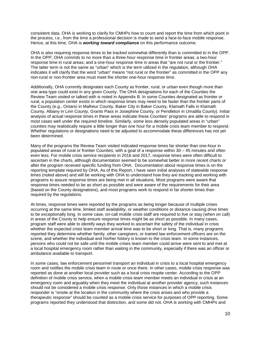consistent data, OHA is working to clarify for CMHPs how to count and report the time from which point in the process, i.e., from the time a professional decision is made to send a face-to-face mobile response. Hence, at this time, OHA is *working toward compliance* on this performance outcome.

OHA is also requiring response times to be tracked somewhat differently than is committed to in the OPP. In the OPP, OHA commits to no more than a three-hour response time in frontier areas; a two-hour response time in rural areas; and a one-hour response time in areas that "are not rural or the frontier." The latter term is not the same as "urban" which is the term utilized in the regulation, although OHA indicates it will clarify that the word "urban" means "not rural or the frontier" as committed in the OPP any non-rural or non-frontier area must meet the shorter one-hour response time.

Additionally, OHA currently designates each County as frontier, rural, or urban even though more than one area type could exist in any given County. The OHA designations for each of the Counties the Review Team visited or talked with is noted in Appendix B. In some Counties designated as frontier or rural, a population center exists in which response times may need to be faster than the frontier parts of the County (e.g., Ontario in Malheur County, Baker City in Baker County, Klamath Falls in Klamath County, Albany in Linn County, Grants Pass in Josephine County, or Pendleton in Umatilla County). Initial analysis of actual response times in these areas indicate these Counties' programs are able to respond in most cases well under the required timeline. Similarly, some less densely populated areas in "urban" counties may realistically require a little longer than one hour for a mobile crisis team member to respond. Whether regulations or designations need to be adjusted to accommodate these differences has not yet been determined.

Many of the programs the Review Team visited indicated response times far shorter than one-hour in populated areas of rural or frontier Counties, with a goal of a response within 30 – 45 minutes and often even less. For mobile crisis service recipients in 2016 and 2017, response times were often difficult to ascertain in the charts, although documentation seemed to be somewhat better in more recent charts or after the program received specific funding from OHA. Documentation about response times is on the reporting template required by OHA. As of this Report, I have seen initial analyses of statewide response times (noted above) and will be working with OHA to understand how they are tracking and working with programs to assure response times are being met in all situations. Most programs were aware that response times needed to be as short as possible and were aware of the requirements for their area (based on the County designations), and most programs work to respond in far shorter times than required by the regulations.

At times, response times were reported by the programs as being longer because of multiple crises occurring at the same time, limited staff availability, or weather conditions or distance causing drive times to be exceptionally long. In some case, on-call mobile crisis staff are required to live or stay (when on call) in areas of the County to help ensure response times might be as short as possible. In many cases, program staff were able to identify ways they worked to ascertain the safety of the individual in crisis whether the expected crisis team member arrival time was to be short or long. That is, many programs reported they determine whether family, other caregivers, or trained law enforcement officers are on the scene, and whether the individual and his/her history is known to the crisis team. In some instances, persons who could not be safe until the mobile crises team member could arrive were sent to and met at a local hospital emergency room rather than waiting in the community, especially if there was an officer or ambulance available to transport.

In some cases, law enforcement personnel transport an individual in crisis to a local hospital emergency room and notifies the mobile crisis team in route or once there. In other cases, mobile crisis response was reported as done at another local provider such as a local crisis respite center. According to the OPP definition of mobile crisis service, when a mobile crisis team member meets an individual in crisis at an emergency room and arguably when they meet the individual at another provider agency, such instances should not be considered a mobile crisis response. Only those instances in which a mobile crisis responder is "onsite at the location in the community where the crisis arises and who provide a therapeutic response" should be counted as a mobile crisis service for purposes of OPP reporting. Some programs reported they understood that distinction, and some did not. OHA is working with CMHPs and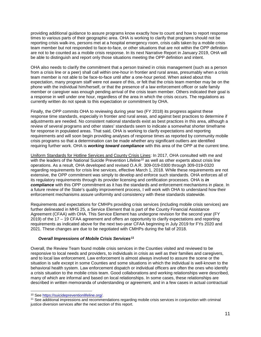providing additional guidance to assure programs know exactly how to count and how to report response times to various parts of their geographic area. OHA is working to clarify that programs should not be reporting crisis walk-ins, persons met at a hospital emergency room, crisis calls taken by a mobile crisis team member but not responded to face-to-face, or other situations that are not within the OPP definition are not to be counted as a mobile crisis response. In its next Narrative Report in January 2019, OHA will be able to distinguish and report only those situations meeting the OPP definition and intent.

OHA also needs to clarify the commitment that a person trained in crisis management (such as a person from a crisis line or a peer) shall call within one-hour in frontier and rural areas, presumably when a crisis team member is not able to be face-to-face until after a one-hour period. When asked about this expectation, many program staff were not aware of this, or felt that the crisis team member may be on the phone with the individual him/herself, or that the presence of a law enforcement officer or safe family member or caregiver was enough pending arrival of the crisis team member. Others indicated their goal is a response in well under one hour, regardless of the area in which the crisis occurs. The regulations as currently written do not speak to this expectation or commitment by OHA.

Finally, the OPP commits OHA to reviewing during year two (FY 2018) its progress against these response time standards, especially in frontier and rural areas, and against best practices to determine if adjustments are needed. No consistent national standards exist as best practices in this area, although a review of several programs and other states' standards seem to indicate a somewhat shorter timeframe for response in populated areas. That said, OHA is working to clarify expectations and reporting requirements and will soon begin providing analyses of response times as reported by community mobile crisis programs so that a determination can be made whether any significant outliers are identified requiring further work. OHA is *working toward compliance* with this area of the OPP at the current time.

Uniform Standards for Hotline Services and County Crisis Lines: In 2017, OHA consulted with me and with the leaders of the National Suicide Prevention Lifeline<sup>[10](#page-10-0)</sup> as well as other experts about crisis line operations. As a result, OHA developed and revised O.A.R. 309-019-0300 through 309-019-0320 regarding requirements for crisis line services, effective March 1, 2018. While these requirements are not extensive, the OPP commitment was simply to develop and enforce such standards. OHA enforces all of its regulatory requirements through its provider licensing and certification processes. OHA is *in compliance* with this OPP commitment as it has the standards and enforcement mechanisms in place. In a future review of the State's quality improvement process, I will work with OHA to understand how their enforcement mechanisms assure uniformity and consistency with these standards statewide.

Requirements and expectations for CMHPs providing crisis services (including mobile crisis services) are further delineated in MHS 25, a Service Element that is part of the County Financial Assistance Agreement (CFAA) with OHA. This Service Element has undergone revision for the second year (FY 2019) of the 17 – 19 CFAA agreement and offers an opportunity to clarify expectations and reporting requirements as indicated above for the next two-year CFAA beginning in July 2019 for FYs 2020 and 2021. These changes are due to be negotiated with CMHPs during the fall of 2018.

# *Overall Impressions of Mobile Crisis Services[11](#page-10-1)*

Overall, the Review Team found mobile crisis services in the Counties visited and reviewed to be responsive to local needs and providers, to individuals in crisis as well as their families and caregivers, and to local law enforcement. Law enforcement is almost always involved to assure the scene or the situation is safe except in some Counties and some situations in which the individual is well-known to the behavioral health system. Law enforcement dispatch or individual officers are often the ones who identify a crisis situation to the mobile crisis team. Good collaborations and working relationships were described, many of which are informal and based on local relationships. In some cases, these relationships are described in written memoranda of understanding or agreement, and in a few cases in actual contractual

<span id="page-10-1"></span><span id="page-10-0"></span><sup>&</sup>lt;sup>10</sup> See https://suicidepreventionlifeline.org/.<br><sup>11</sup> See additional impressions and recommendations regarding mobile crisis services in conjunction with criminal justice diversion services after the next section of this report.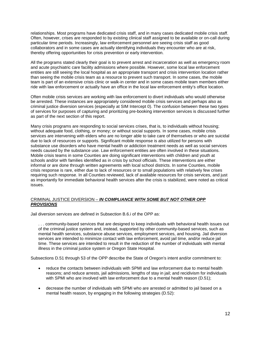relationships. Most programs have dedicated crisis staff, and in many cases dedicated mobile crisis staff. Often, however, crises are responded to by existing clinical staff assigned to be available or on-call during particular time periods. Increasingly, law enforcement personnel are seeing crisis staff as good collaborators and in some cases are actually identifying individuals they encounter who are at risk, thereby offering opportunities for crisis prevention or early intervention.

All the programs stated clearly their goal is to prevent arrest and incarceration as well as emergency room and acute psychiatric care facility admissions where possible. However, some local law enforcement entities are still seeing the local hospital as an appropriate transport and crisis intervention location rather than seeing the mobile crisis team as a resource to prevent such transport. In some cases, the mobile team is part of an extensive crisis clinic or walk-in center and in some cases mobile team members either ride with law enforcement or actually have an office in the local law enforcement entity's office location.

Often mobile crisis services are working with law enforcement to divert individuals who would otherwise be arrested. These instances are appropriately considered mobile crisis services and perhaps also as criminal justice diversion services (especially at SIM Intercept 0). The confusion between these two types of services for purposes of capturing and prioritizing pre-booking intervention services is discussed further as part of the next section of this report.

Many crisis programs are responding to social services crises, that is, to individuals without housing; without adequate food, clothing, or money; or without social supports. In some cases, mobile crisis services are intervening with elders who are no longer able to take care of themselves or who are suicidal due to lack of resources or supports. Significant mobile response is also utilized for persons with substance use disorders who have mental health or addiction treatment needs as well as social services needs caused by the substance use. Law enforcement entities are often involved in these situations. Mobile crisis teams in some Counties are doing significant interventions with children and youth at schools and/or with families identified as in crisis by school officials. These interventions are either informal or are done through written agreements with local school districts. In some Counties, mobile crisis response is rare, either due to lack of resources or to small populations with relatively few crises requiring such response. In all Counties reviewed, lack of available resources for crisis services, and just as importantly for immediate behavioral health services after the crisis is stabilized, were noted as critical issues.

#### CRIMINAL JUSTICE DIVERSION – *IN COMPLIANCE WITH SOME BUT NOT OTHER OPP PROVISIONS*

Jail diversion services are defined in Subsection B.6.i of the OPP as:

. . . community-based services that are designed to keep individuals with behavioral health issues out of the criminal justice system and, instead, supported by other community-based services, such as mental health services, substance abuse services, employment services, and housing. Jail diversion services are intended to minimize contact with law enforcement, avoid jail time, and/or reduce jail time. These services are intended to result in the reduction of the number of individuals with mental illness in the criminal justice system or Oregon State Hospital.

Subsections D.51 through 53 of the OPP describe the State of Oregon's intent and/or commitment to:

- reduce the contacts between individuals with SPMI and law enforcement due to mental health reasons; and reduce arrests, jail admissions, lengths of stay in jail; and recidivism for individuals with SPMI who are involved with law enforcement due to a mental health reason (D.51);
- decrease the number of individuals with SPMI who are arrested or admitted to jail based on a mental health reason, by engaging in the following strategies (D.52):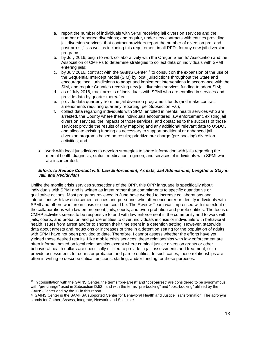- a. report the number of individuals with SPMI receiving jail diversion services and the number of reported diversions; and require, under new contracts with entities providing jail diversion services, that contract providers report the number of diversion pre- and post-arrest,[12](#page-12-0) as well as including this requirement in all RFPs for any new jail diversion programs;
- b. by July 2016, begin to work collaboratively with the Oregon Sheriffs' Association and the Association of CMHPs to determine strategies to collect data on individuals with SPMI entering jails;
- c. by July 2016, contract with the GAINS Center[13](#page-12-1) to consult on the expansion of the use of the Sequential Intercept Model (SIM) by local jurisdictions throughout the State and encourage local jurisdictions to adopt and implement interventions in accordance with the SIM, and require Counties receiving new jail diversion services funding to adopt SIM;
- d. as of July 2016, track arrests of individuals with SPMI who are enrolled in services and provide data by quarter thereafter;
- e. provide data quarterly from the jail diversion programs it funds (and make contract amendments requiring quarterly reporting, per Subsection F.6);
- f. collect data regarding individuals with SPMI enrolled in mental health services who are arrested, the County where these individuals encountered law enforcement, existing jail diversion services, the impacts of those services, and obstacles to the success of those services; provide the results of any mapping and any additional relevant data to USDOJ and allocate existing funding as necessary to support additional or enhanced jail diversion programs based on results; prioritize pre-charge (pre-booking) diversion activities; and
- work with local jurisdictions to develop strategies to share information with jails regarding the mental health diagnosis, status, medication regimen, and services of individuals with SPMI who are incarcerated.

### *Efforts to Reduce Contact with Law Enforcement, Arrests, Jail Admissions, Lengths of Stay in Jail, and Recidivism*

Unlike the mobile crisis services subsections of the OPP, this OPP language is specifically about individuals with SPMI and is written as intent rather than commitments to specific quantitative or qualitative actions. Most programs reviewed in June have worked to increase collaborations and interactions with law enforcement entities and personnel who often encounter or identify individuals with SPMI and others who are in crisis or soon could be. The Review Team was impressed with the extent of the collaborations with law enforcement, jails, courts, and even probation and parole entities. The focus of CMHP activities seems to be responsive to and with law enforcement in the community and to work with jails, courts, and probation and parole entities to divert individuals in crisis or individuals with behavioral health issues from arrest and/or to shorten their time spent in a detention setting. However, statewide data about arrests and reductions or increases of time in a detention setting for the population of adults with SPMI have not been provided to date. Therefore, I cannot assess whether the efforts have yet yielded these desired results. Like mobile crisis services, these relationships with law enforcement are often informal based on local relationships except where criminal justice diversion grants or other behavioral health dollars are specifically utilized to provide in-jail assessments and treatment, or to provide assessments for courts or probation and parole entities. In such cases, these relationships are often in writing to describe critical functions, staffing, and/or funding for these purposes.

<span id="page-12-0"></span><sup>&</sup>lt;sup>12</sup> In consultation with the GAINS Center, the terms "pre-arrest" and "post-arrest" are considered to be synonymous with "pre-charge" used in Subsection D.52.f and with the terms "pre-booking" and "post-booking" utilized by the GAINS Center and by the IC in this report.

<span id="page-12-1"></span><sup>13</sup> GAINS Center is the SAMHSA supported Center for Behavioral Health and Justice Transformation. The acronym stands for Gather, Assess, Integrate, Network, and Stimulate.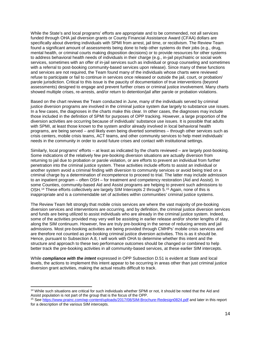While the State's and local programs' efforts are appropriate and to be commended, not all services funded through OHA jail diversion grants or County Financial Assistance Award (CFAA) dollars are specifically about diverting individuals with SPMI from arrest, jail time, or recidivism. The Review Team found a significant amount of assessments being done to help other systems do their jobs (e.g., drug, mental health, or criminal courts making disposition decisions) or to provide resources for other systems to address behavioral health needs of individuals in their charge (e.g., in-jail psychiatric or social work services, sometimes with an offer of in-jail services such as individual or group counseling and sometimes with a referral to post-booking community-based services upon release). Since many of these functions and services are not required, the Team found many of the individuals whose charts were reviewed refuse to participate or fail to continue in services once released or outside the jail, court, or probation/ parole jurisdiction. Critical to this issue is the paucity of documentation of true interventions (beyond assessments) designed to engage and prevent further crises or criminal justice involvement. Many charts showed multiple crises, re-arrests, and/or return to detention/jail after parole or probation violations.

Based on the chart reviews the Team conducted in June, many of the individuals served by criminal justice diversion programs are involved in the criminal justice system due largely to substance use issues. In a few cases, the diagnoses in the charts make this clear. In other cases, the diagnoses may include those included in the definition of SPMI for purposes of OPP tracking. However, a large proportion of the diversion activities are occurring because of individuals' substance use issues. It is possible that adults with SPMI, at least those known to the system and/or already involved in local behavioral health programs, are being served – and likely even being diverted sometimes – through other services such as crisis centers, mobile crisis teams, ACT teams, and other community services to help meet individuals' needs in the community in order to avoid future crises and contact with institutional settings.

Similarly, local programs' efforts – at least as indicated by the charts reviewed – are largely post-booking. Some indications of the relatively few pre-booking diversion situations are actually diversion from returning to jail due to probation or parole violation, or are efforts to prevent an individual from further penetration into the criminal justice system. These activities include efforts to assist an individual or another system avoid a criminal finding with diversion to community services or avoid being tried on a criminal charge by a determination of incompetence to proceed to trial. The latter may include admission to an inpatient program – often OSH – for treatment and competency restoration (Aid and Assist). In some Counties, community-based Aid and Assist programs are helping to prevent such admissions to OSH.[14](#page-13-0) These efforts collectively are largely SIM Intercepts 2 through 5.[15](#page-13-1) Again, none of this is inappropriate and is a commendable set of activities within communities' criminal justice systems.

The Review Team felt strongly that mobile crisis services are where the vast majority of pre-booking diversion services and interventions are occurring, and by definition, the criminal justice diversion services and funds are being utilized to assist individuals who are already in the criminal justice system. Indeed, some of the activities provided may very well be assisting in earlier release and/or shorter lengths of stay, along the SIM continuum. However, few are truly pre-booking in the sense of reducing arrests and jail admissions. Most pre-booking activities are being provided through CMHPs' mobile crisis services and are therefore not counted as pre-booking criminal justice diversion activities. This is as it should be. Hence, pursuant to Subsection A.8, I will work with OHA to determine whether this intent and the structure and approach to these two performance outcomes should be changed or combined to help better track the pre-booking activities in all community-based services, at these earlier SIM intercepts.

While *compliance with the intent* expressed in OPP Subsection D.51 is evident at State and local levels, the actions to implement this intent appear to be occurring in areas other than just criminal justice diversion grant activities, making the actual results difficult to track.

<span id="page-13-0"></span><sup>&</sup>lt;sup>14</sup> While such situations are critical for such individuals whether SPMI or not, it should be noted that the Aid and Assist population is not part of the group that is the focus of the OPP.

<span id="page-13-1"></span><sup>15</sup> Se[e https://www.prainc.com/wp-content/uploads/2017/08/SIM-Brochure-Redesign0824.pdf](https://www.prainc.com/wp-content/uploads/2017/08/SIM-Brochure-Redesign0824.pdf) and later in this report for a description of the various SIM intercepts.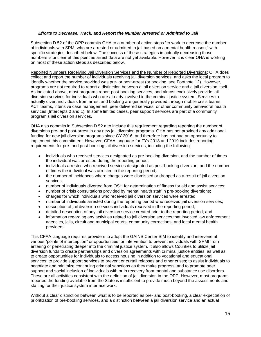### *Efforts to Decrease, Track, and Report the Number Arrested or Admitted to Jail*

Subsection D.52 of the OPP commits OHA to a number of action steps "to work to decrease the number of individuals with SPMI who are arrested or admitted to jail based on a mental health reason," with specific strategies described below. The success of these strategies in actually decreasing those numbers is unclear at this point as arrest data are not yet available. However, it is clear OHA is working on most of these action steps as described below.

Reported Numbers Receiving Jail Diversion Services and the Number of Reported Diversions: OHA does collect and report the number of individuals receiving jail diversion services, and asks the local program to identify whether the service provided was pre- or post-arrest (or booking; see Footnote 12). However, programs are not required to report a distinction between a jail diversion service and a jail diversion itself. As indicated above, most programs report post-booking services, and almost exclusively provide jail diversion services for individuals who are already involved in the criminal justice system. Services to actually divert individuals from arrest and booking are generally provided through mobile crisis teams, ACT teams, intensive case management, peer delivered services, or other community behavioral health services (Intercepts 0 and 1). In some limited cases, peer support services are part of a community program's jail diversion services.

OHA also commits in Subsection D.52.a to include this requirement regarding reporting the number of diversions pre- and post-arrest in any new jail diversion programs. OHA has not provided any additional funding for new jail diversion programs since CY 2016, and therefore has not had an opportunity to implement this commitment. However, CFAA language for FYs 2018 and 2019 includes reporting requirements for pre- and post-booking jail diversion services, including the following:

- individuals who received services designated as pre-booking diversion, and the number of times the individual was arrested during the reporting period;
- individuals arrested who received services designated as post-booking diversion, and the number of times the individual was arrested in the reporting period;
- the number of incidences where charges were dismissed or dropped as a result of jail diversion services;
- number of individuals diverted from OSH for determination of fitness for aid and assist services;
- number of crisis consultations provided by mental health staff in pre-booking diversions;
- charges for which individuals who received jail diversion services were arrested;
- number of individuals arrested during the reporting period who received jail diversion services;
- description of jail diversion services individuals received in the reporting period;
- detailed description of any jail diversion service created prior to the reporting period; and
- information regarding any activities related to jail diversion services that involved law enforcement agencies, jails, circuit and municipal courts, community corrections, and local mental health providers.

This CFAA language requires providers to adopt the GAINS Center SIM to identify and intervene at various "points of interception" or opportunities for intervention to prevent individuals with SPMI from entering or penetrating deeper into the criminal justice system. It also allows Counties to utilize jail diversion funds to create partnerships and diversion agreements with criminal justice entities, as well as to create opportunities for individuals to access housing in addition to vocational and educational services; to provide support services to prevent or curtail relapses and other crises; to assist individuals to negotiate and minimize continuing criminal sanctions as they make progress; and to promote peer support and social inclusion of individuals with or in recovery from mental and substance use disorders. These are all activities consistent with the definition of jail diversion in the OPP. However, most programs reported the funding available from the State is insufficient to provide much beyond the assessments and staffing for their justice system interface work.

Without a clear distinction between what is to be reported as pre- and post-booking, a clear expectation of prioritization of pre-booking services, and a distinction between a jail diversion service and an actual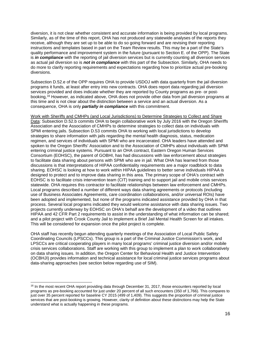diversion, it is not clear whether consistent and accurate information is being provided by local programs. Similarly, as of the time of this report, OHA has not produced any statewide analyses of the reports they receive, although they are set up to be able to do so going forward and are revising their reporting instructions and templates based in part on the Team Review results. This may be a part of the State's quality performance and improvement system in the future (pursuant to Section E. of the OPP). The State is *in compliance* with the reporting of jail diversion services but is currently counting all diversion services as actual jail diversion so is *not in compliance* with this part of the Subsection. Similarly, OHA needs to do more to clarify reporting requirements and expectations regarding how to prioritize actual pre-booking diversions.

Subsection D.52.e of the OPP requires OHA to provide USDOJ with data quarterly from the jail diversion programs it funds, at least after entry into new contracts. OHA does report data regarding jail diversion services provided and does indicate whether they are reported by County programs as pre- or postbooking,[16](#page-15-0) However, as indicated above, OHA does not provide other data from jail diversion programs at this time and is not clear about the distinction between a service and an actual diversion. As a consequence, OHA is only *partially in compliance* with this commitment.

Work with Sheriffs and CMHPs (and Local Jurisdictions) to Determine Strategies to Collect and Share Data: Subsection D.52.b commits OHA to begin collaborative work by July 2016 with the Oregon Sheriffs Association and the Association of CMHPs to determine strategies to collect data on individuals with SPMI entering jails. Subsection D.53 commits OHA to working with local jurisdictions to develop strategies to share information with jails regarding the mental health diagnosis, status, medication regimen, and services of individuals with SPMI who are incarcerated. OHA leaders have attended and spoken to the Oregon Sheriffs' Association and to the Association of CMHPs about individuals with SPMI entering criminal justice systems. Pursuant to an OHA contract, Eastern Oregon Human Services Consortium (EOHSC), the parent of GOBHI, has had discussions with law enforcement about strategies to facilitate data sharing about persons with SPMI who are in jail. What OHA has learned from those discussions is that interpretations of HIPAA confidentiality requirements are a major roadblock to data sharing. EOHSC is looking at how to work within HIPAA guidelines to better serve individuals HIPAA is designed to protect and to improve data sharing in this area. The primary scope of OHA's contract with EOHSC is to facilitate crisis intervention team (CIT) training and to support jail and mobile crisis services statewide. OHA requires this contractor to facilitate relationships between law enforcement and CMHPs. Local programs described a number of different ways data sharing agreements or protocols (including use of Business Associates Agreements, care coordination collaborations, and/or universal ROIs) have been adopted and implemented, but none of the programs indicated assistance provided by OHA in that process. Several local programs indicated they would welcome assistance with data sharing issues. Two projects currently underway by EOHSC on OHA's behalf are the development of a video that outlines HIPAA and 42 CFR Part 2 requirements to assist in the understanding of what information can be shared; and a pilot project with Crook County Jail to implement a Brief Jail Mental Health Screen for all intakes. This will be considered for expansion once the pilot project is complete.

OHA staff has recently begun attending quarterly meetings of the Association of Local Public Safety Coordinating Councils (LPSCCs). This group is a part of the Criminal Justice Commission's work, and LPSCCs are critical cooperating players in many local programs' criminal justice diversion and/or mobile crisis services collaborations. Staff are working with this group to implement a plan to work collaboratively on data sharing issues. In addition, the Oregon Center for Behavioral Health and Justice Intervention (OCBHJI) provides information and technical assistance for local criminal justice services programs about data-sharing approaches (see section below regarding use of SIM).

<span id="page-15-0"></span><sup>&</sup>lt;sup>16</sup> In the most recent OHA report providing data through December 31, 2017, those encounters reported by local programs as pre-booking accounted for just under 20 percent of all such encounters (350 of 1,766). This compares to just over 35 percent reported for baseline CY 2015 (499 of 1,409). This suggests the proportion of criminal justice services that are post-booking is growing. However, clarity of definition about these distinctions may help the State understand what is actually happening in these programs.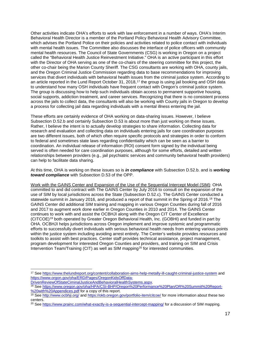Other activities indicate OHA's efforts to work with law enforcement in a number of ways. OHA's Interim Behavioral Health Director is a member of the Portland Policy Behavioral Health Advisory Committee, which advises the Portland Police on their policies and activities related to police contact with individuals with mental health issues. The Committee also discusses the interface of police officers with community mental health resources. The Council of State Governments (CSG) is working in Oregon on a project called the "Behavioral Health Justice Reinvestment Initiative." OHA is an active participant in this effort with the Director of OHA serving as one of the co-chairs of the steering committee for this project, the other co-chair being the Marion County Sheriff. The CSG consultants are working with OHA, county jails, and the Oregon Criminal Justice Commission regarding data to base recommendations for improving services that divert individuals with behavioral health issues from the criminal justice system. According to an article reported in the Lund Report October 31, 2018,[17](#page-16-0) the group is using jail booking and OSH data to understand how many OSH individuals have frequent contact with Oregon's criminal justice system. The group is discussing how to help such individuals obtain access to permanent supportive housing, social supports, addiction treatment, and career services. Recognizing that there is no consistent process across the jails to collect data, the consultants will also be working with County jails in Oregon to develop a process for collecting jail data regarding individuals with a mental illness entering the jail.

These efforts are certainly evidence of OHA working on data-sharing issues. However, I believe Subsection D.52.b and certainly Subsection D.53 is about more than just working on these issues. Rather, I believe the intent is to actually develop strategies to share information. Collecting data for research and evaluation and collecting data on individuals entering jails for care coordination purposes are two different issues, both of which often require specific protocols and strategies in order to conform to federal and sometimes state laws regarding confidentiality which can be seen as a barrier to coordination. An individual release of information (ROI) consent form signed by the individual being served is often needed for care coordination purposes, although for some efforts, detailed and written relationships between providers (e.g., jail psychiatric services and community behavioral health providers) can help to facilitate data sharing.

At this time, OHA is working on these issues so is *in compliance* with Subsection D.52.b. and is *working toward compliance* with Subsection D.53 of the OPP.

Work with the GAINS Center and Expansion of the Use of the Sequential Intercept Model (SIM): OHA committed to and did contract with The GAINS Center by July 2016 to consult on the expansion of the use of SIM by local jurisdictions across the State (Subsection D.52.c). The GAINS Center conducted a statewide summit in January 2016, and produced a report of that summit in the Spring of 2016.<sup>[18](#page-16-1)</sup> The GAINS Center did additional SIM training and mapping in various Oregon Counties during fall of 2016 and 2017 to augment work done earlier in Oregon Counties in 2010 and 2014. The GAINS Center continues to work with and assist the OCBHJI along with the Oregon CIT Center of Excellence (CITCOE)[19](#page-16-2) both operated by Greater Oregon Behavioral Health, Inc. (GOBHI) and funded in part by OHA. OCBHJI helps jurisdictions across Oregon implement and improve systemic and programmatic efforts to successfully divert individuals with serious behavioral health needs from entering various points within the justice system including avoiding arrest entirely. The Center's website provides resources and toolkits to assist with best practices. Center staff provides technical assistance, project management, program development for interested Oregon Counties and providers, and training on SIM and Crisis Intervention Team/Training (CIT) as well as SIM mapping $2^{\circ}$  for interested communities.

<span id="page-16-0"></span> <sup>17</sup> Se[e https://www.thelundreport.org/content/collaboration-aims-help-metally-ill-caught-criminal-justice-system](https://www.thelundreport.org/content/collaboration-aims-help-metally-ill-caught-criminal-justice-system) and https://www.orgon.gov/oha/ERD/Pages/OregonKidsOffData-<br>DrivenReviewOfStateCiminalJusticeAndBehavioralHealthSystems.aspx.

<span id="page-16-1"></span><sup>&</sup>lt;sup>18</sup> Se[e https://www.oregon.gov/oha/HPA/CSI-BHP/Oregon%20Performance%20Plan/OR%20Summit%20Report-](https://www.oregon.gov/oha/HPA/CSI-BHP/Oregon%20Performance%20Plan/OR%20Summit%20Report-%20with%20Appendices.pdf)<br>%20with%20Appendices.pdf for a copy of this report.

<span id="page-16-2"></span><sup>&</sup>lt;sup>19</sup> Se[e http://www.ocbhji.org/](http://www.ocbhji.org/) an[d https://okb.oregon.gov/portfolio-item/citcoe/](https://okb.oregon.gov/portfolio-item/citcoe/) for more information about these two centers.

<span id="page-16-3"></span><sup>&</sup>lt;sup>20</sup> Se[e https://www.prainc.com/what-exactly-is-a-sequential-intercept-mapping/](https://www.prainc.com/what-exactly-is-a-sequential-intercept-mapping/) for a discussion of SIM mapping.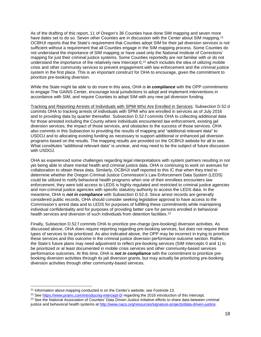As of the drafting of this report, 11 of Oregon's 36 Counties have done SIM mapping and seven more have dates set to do so. Seven other Counties are in discussion with the Center about SIM mapping.<sup>[21](#page-17-0)</sup> OCBHJI reports that the State's requirement that Counties adopt SIM for their jail diversion services is not sufficient without a requirement that all Counties engage in the SIM mapping process. Some Counties do not understand the importance of SIM mapping or have used only the National Institute of Corrections' mapping for just their criminal justice systems. Some Counties reportedly are not familiar with or do not understand the importance of the relatively new Intercept 0,<sup>[22](#page-17-1)</sup> which includes the idea of utilizing mobile crisis and other community services to prevent engagement with law enforcement and the criminal justice system in the first place. This is an important construct for OHA to encourage, given the commitment to prioritize pre-booking diversion.

While the State might be able to do more in this area, OHA is *in compliance* with the OPP commitments to engage The GAINS Center, encourage local jurisdictions to adopt and implement interventions in accordance with SIM, and require Counties to adopt SIM with any new jail diversion funding.

Tracking and Reporting Arrests of Individuals with SPMI Who Are Enrolled in Services: Subsection D.52.d commits OHA to tracking arrests of individuals with SPMI who are enrolled in services as of July 2016 and to providing data by quarter thereafter. Subsection D.52.f commits OHA to collecting additional data for those arrested including the County where individuals encountered law enforcement, existing jail diversion services, the impact of those services, and obstacles to the success of those services. OHA also commits in this Subsection to providing the results of mapping and "additional relevant data" to USDOJ and to allocating existing funding as necessary to support additional or enhanced jail diversion programs based on the results. The mapping results are provided on the OCBHJI website for all to see. What constitutes "additional relevant data" is unclear, and may need to be the subject of future discussion with USDOJ.

OHA as experienced some challenges regarding legal interpretations with system partners resulting in not yet being able to share mental health and criminal justice data. OHA is continuing to work on avenues for collaboration to obtain these data. Similarly, OCBHJI staff reported to this IC that when they tried to determine whether the Oregon Criminal Justice Commission's Law Enforcement Data System (LEDS) could be utilized to notify behavioral health programs when one of their enrollees encounters law enforcement, they were told access to LEDS is highly regulated and restricted to criminal justice agencies and non-criminal justice agencies with specific statutory authority to access the LEDS data. In the meantime, OHA is *not in compliance* with Subsection D.52.d. Since arrest records are generally considered public records, OHA should consider seeking legislative approval to have access to the Commission's arrest data and to LEDS for purposes of fulfilling these commitments while maintaining individual confidentiality and for purposes of providing better care for persons enrolled in behavioral health services and diversion of such individuals from detention facilities.<sup>[23](#page-17-2)</sup>

Finally, Subsection D.52.f commits OHA to prioritize pre-charge (pre-booking) diversion activities. As discussed above, OHA does require reporting regarding pre-booking services, but does not require these types of services to be prioritized. As also indicated above, the OPP may be incorrect in trying to prioritize these services and this outcome in the criminal justice diversion performance outcome section. Rather, the State's future plans may need adjustment to reflect pre-booking services (SIM Intercepts 0 and 1) to be prioritized or at least documented in mobile crisis services and other community-based services performance outcomes. At this time, OHA is *not in compliance* with the commitment to prioritize prebooking diversion activities through its jail diversion grants, but may actually be prioritizing pre-booking diversion activities through other community-based services.

<span id="page-17-0"></span><sup>&</sup>lt;sup>21</sup> Information about mapping conducted is on the Center's website; see Footnote 13.

<span id="page-17-1"></span><sup>&</sup>lt;sup>22</sup> Se[e https://www.prainc.com/introducing-intercept-0/](https://www.prainc.com/introducing-intercept-0/) regarding the 2016 introduction of this intercept.

<span id="page-17-2"></span><sup>&</sup>lt;sup>23</sup> See the National Association of Counties' Data Driven Justice initiative efforts to share data between criminal justice and behavioral health systems at [http://www.naco.org/resources/signature-projects/data-driven-justice.](http://www.naco.org/resources/signature-projects/data-driven-justice)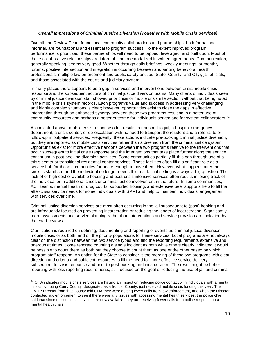### *Overall Impressions of Criminal Justice Diversion (Together with Mobile Crisis Services)*

Overall, the Review Team found local community collaborations and partnerships, both formal and informal, are foundational and essential to program success. To the extent improved program performance is prioritized, these partnerships will need to be tapped, leveraged, and built upon. Most of these collaborative relationships are informal – not memorialized in written agreements. Communication, generally speaking, seems very good. Whether through daily briefings, weekly meetings, or monthly forums, positive intersection and integration is occurring between and among behavioral health professionals, multiple law enforcement and public safety entities (State, County, and City), jail officials, and those associated with the courts and judiciary system.

In many places there appears to be a gap in services and interventions between crisis/mobile crisis response and the subsequent actions of criminal justice diversion teams. Many charts of individuals seen by criminal justice diversion staff showed prior crisis or mobile crisis intersection without that being noted in the mobile crisis system records. Each program's value and success in addressing very challenging and highly complex situations is clear; however, opportunities exist to close the gaps in effective intervention through an enhanced synergy between these two programs resulting in a better use of community resources and perhaps a better outcome for individuals served and for system collaborators.[24](#page-18-0)

As indicated above, mobile crisis response often results in transport to jail, a hospital emergency department, a crisis center, or de-escalation with no need to transport the resident and a referral to or follow-up in outpatient services. Frequently, these actions indicate pre-booking criminal justice diversion, but they are reported as mobile crisis services rather than a diversion from the criminal justice system. Opportunities exist for more effective handoffs between the two programs relative to the interventions that occur subsequent to initial crisis response and the interventions that take place further along the service continuum in post-booking diversion activities. Some communities partially fill this gap through use of a crisis center or transitional residential center services. These facilities often fill a significant role as a service hub for those communities fortunate enough to have them. However, what happens after the crisis is stabilized and the individual no longer needs this residential setting is always a big question. The lack of or high cost of available housing and post-crisis intensive services often results in losing track of the individual or in additional crises or criminal justice involvement in the future. In some communities, ACT teams, mental health or drug courts, supported housing, and extensive peer supports help to fill the after-crisis service needs for some individuals with SPMI and help to maintain individuals' engagement with services over time.

Criminal justice diversion services are most often occurring in the jail subsequent to (post) booking and are infrequently focused on preventing incarceration or reducing the length of incarceration. Significantly more assessments and service planning rather than interventions and service provision are indicated by the chart reviews.

Clarification is required on defining, documenting and reporting of events as criminal justice diversion, mobile crisis, or as both, and on the priority populations for these services. Local programs are not always clear on the distinction between the two service types and find the reporting requirements extensive and onerous at times. Some reported counting a single incident as both while others clearly indicated it would be possible to count them as both but they choose to count them as one or the other based on which program staff respond. An option for the State to consider is the merging of these two programs with clear direction and criteria and sufficient resources to fill the need for more effective service delivery subsequent to crisis response and prior to post-booking and incarceration. The result might be better reporting with less reporting requirements, still focused on the goal of reducing the use of jail and criminal

<span id="page-18-0"></span><sup>&</sup>lt;sup>24</sup> OHA indicates mobile crisis services are having an impact on reducing police contact with individuals with a mental illness by noting Curry County, designated as a frontier County, just received mobile crisis funding this year. The CMHP Director from that County told OHA they were getting fewer calls from law enforcement, and when the Director contacted law enforcement to see if there were any issues with accessing mental health services, the police chief said that since mobile crisis services are now available, they are receiving fewer calls for a police response to a mental health crisis.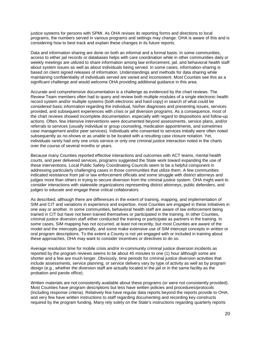justice systems for persons with SPMI. As OHA revises its reporting forms and directions to local programs, the numbers served in various programs and settings may change. OHA is aware of this and is considering how to best track and explain these changes in its future reports.

Data and information sharing are done on both an informal and a formal basis. In some communities, access to either jail records or databases helps with care coordination while in other communities daily or weekly meetings are utilized to share information among law enforcement, jail, and behavioral health staff about system issues as well as about individuals being served. In some cases, information-sharing is based on client signed releases of information. Understandings and methods for data sharing while maintaining confidentiality of individuals served are varied and inconsistent. Most Counties see this as a significant challenge and would welcome OHA providing additional guidance in this area.

Accurate and comprehensive documentation is a challenge as evidenced by the chart reviews. The Review Team members often had to query and review both multiple modules of a single electronic health record system and/or multiple systems (both electronic and hard copy) in search of what could be considered basic information regarding the individual, his/her diagnoses and presenting issues, services provided, and subsequent experiences with crisis or jail diversion programs. As a consequence, most of the chart reviews showed incomplete documentation, especially with regard to dispositions and follow-up actions. Often, few intensive interventions were documented beyond assessments, service plans, and/or referrals to services (usually individual or group counseling, medication appointments, and sometimes case management and/or peer services). Individuals who consented to services initially were often noted subsequently as no-shows or as unable to be located with a resulting case closure notation. Yet, individuals rarely had only one crisis service or only one criminal justice interaction noted in the charts over the course of several months or years.

Because many Counties reported effective interactions and outcomes with ACT teams, mental health courts, and peer delivered services, programs suggested the State work toward expanding the use of these interventions. Local Public Safety Coordinating Councils seem to be a helpful component in addressing particularly challenging cases in those communities that utilize them. A few communities indicated resistance from jail or law enforcement officials and some struggle with district attorneys and judges more than others in trying to secure diversion from the criminal justice system. OHA might want to consider interactions with statewide organizations representing district attorneys, public defenders, and judges to educate and engage these critical collaborators.

As described, although there are differences in the extent of training, mapping, and implementation of SIM and CIT and variations in experience and expertise, most Counties are engaged in these initiatives in one way or another. In some communities, behavioral health staff are aware of law enforcement being trained in CIT but have not been trained themselves or participated in the training. In other Counties, criminal justice diversion staff either conducted the training or participate as partners in the training. In some cases, SIM mapping has not occurred, at least not recently, but most Counties are aware of the model and the intercepts generally, and some make extensive use of SIM intercept concepts in written or oral program descriptions. To the extent a County is not yet engaged with or included in training about these approaches, OHA may want to consider incentives or directives to do so.

Average resolution time for mobile crisis and/or in-community criminal justice diversion incidents as reported by the program reviews seems to be about 45 minutes to one (1) hour although some are shorter and a few are much longer. Obviously, time periods for criminal justice diversion activities that include assessments, service planning, or service delivery vary by type of activity as well as by program design (e.g., whether the diversion staff are actually located in the jail or in the same facility as the probation and parole office).

Written materials are not consistently available about these programs (or were not consistently provided). Most Counties have program descriptions but less have written policies and procedures/protocols (including response criteria). Relatively few have regular data reports beyond the reports provide to OHA, and very few have written instructions to staff regarding documenting and recording key constructs required by the program funding. Many rely solely on the State's instructions regarding quarterly reports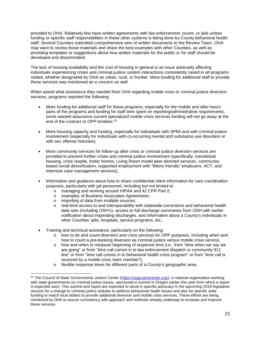provided to OHA. Relatively few have written agreements with law enforcement, courts, or jails unless funding or specific staff responsibilities in these other systems is being done by County behavioral health staff. Several Counties submitted comprehensive sets of written documents to the Review Team. OHA may want to review those materials and share the best examples with other Counties, as well as providing templates or suggestions about how written materials for the public or for staff should be developed and disseminated.

The lack of housing availability and the cost of housing in general is an issue adversely affecting individuals experiencing crises and criminal justice system interactions consistently raised in all programs visited, whether designated by OHA as urban, rural, or frontier. More funding for additional staff to provide these services was mentioned as a concern as well.

When asked what assistance they needed from OHA regarding mobile crisis or criminal justice diversion services, programs reported the following:

- More funding for additional staff for these programs, especially for the mobile and after-hours parts of the programs and funding for staff time spent on reporting/administrative requirements; some wanted assurance current specialized mobile crisis services funding will not go away at the end of the contract or OPP timeline;<sup>[25](#page-20-0)</sup>
- More housing capacity and funding, especially for individuals with SPMI and with criminal justice involvement (especially for individuals with co-occurring mental and substance use disorders or with sex offense histories);
- More community services for follow-up after crisis or criminal justice diversion services are provided to prevent further crises and criminal justice involvement (specifically, transitional housing, crisis respite, foster homes, Living Room model peer-directed services, communitybased social detoxification, supported employment with "felony friendly" employers, ACT, and intensive case management services);
- Information and guidance about how to share confidential client information for care coordination purposes, particularly with jail personnel, including but not limited to:
	- o managing and working around HIPAA and 42 CFR Part 2;<br>
	o examples of Business Associates Agreements;
	- examples of Business Associates Agreements;
	- $\circ$  importing of data from multiple sources;<br> $\circ$  real-time access to and interoperability v
	- real-time access to and interoperability with statewide corrections and behavioral health data sets (including OSH's), access to full discharge summaries from OSH with earlier notification about impending discharges, and information about a County's individuals in other Counties' jails, hospitals, service programs, etc.;
- Training and technical assistance, particularly on the following:
	- o how to do and count diversion and crisis services for OPP purposes, including when and how to count a pre-booking diversion as criminal justice versus mobile crisis service;
	- $\circ$  how and when to measure beginning of response time (i.e., from "time when we say we are going" or from "time call comes in to law enforcement dispatch or community 911 line" or from "time call comes in to behavioral health crisis program" or from "time call is received by a mobile crisis team member");
	- o flexible response times for different parts of a County's geographic area;

<span id="page-20-0"></span><sup>&</sup>lt;sup>25</sup> The Council of State Governments Justice Center [\(https://csgjusticecenter.org/\)](https://csgjusticecenter.org/), a national organization working with state governments on criminal justice issues, sponsored a summit in Oregon earlier this year from which a report is expected soon. This summit and report are expected to result in specific advocacy in the upcoming 2019 legislative session for a change to criminal justice statutes to address behavioral health issues and also for specific state funding to match local dollars to provide additional diversion and mobile crisis services. These efforts are being monitored by OHA to assure consistency with approach and methods already underway to increase and improve these services.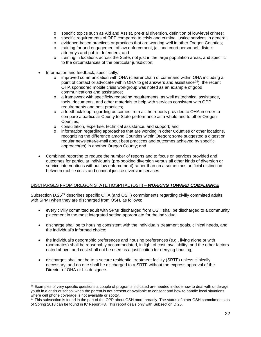- o specific topics such as Aid and Assist, pre-trial diversion, definition of low-level crimes;<br>
o specific requirements of OPP compared to crisis and criminal justice services in general
- o specific requirements of OPP compared to crisis and criminal justice services in general;<br>
o evidence-based practices or practices that are working well in other Oregon Counties:
- o evidence-based practices or practices that are working well in other Oregon Counties;<br>
o training for and engagement of law enforcement. iail and court personnel. district
- training for and engagement of law enforcement, jail and court personnel, district attorneys and public defenders; and
- $\circ$  training in locations across the State, not just in the large population areas, and specific to the circumstances of the particular jurisdiction;
- Information and feedback, specifically:
	- $\circ$  improved communication with OHA (clearer chain of command within OHA including a point of contact or advocate within OHA to get answers and assistance<sup>26</sup>); the recent OHA sponsored mobile crisis workgroup was noted as an example of good communications and assistance;
	- o a framework with specificity regarding requirements, as well as technical assistance, tools, documents, and other materials to help with services consistent with OPP requirements and best practices;
	- $\circ$  a feedback loop regarding outcomes from all the reports provided to OHA in order to compare a particular County to State performance as a whole and to other Oregon Counties;
	- o consultation, expertise, technical assistance, and support; and
	- $\circ$  information regarding approaches that are working in other Counties or other locations, recognizing the difference among Counties within Oregon; some suggested a digest or regular newsletter/e-mail about best practices and outcomes achieved by specific approach(es) in another Oregon County; and
- Combined reporting to reduce the number of reports and to focus on services provided and outcomes for particular individuals (pre-booking diversion versus all other kinds of diversion or service interventions without law enforcement) rather than on a sometimes artificial distinction between mobile crisis and criminal justice diversion services.

# DISCHARGES FROM OREGON STATE HOSPITAL (OSH) – *WORKING TOWARD COMPLIANCE*

Subsection D.25<sup>[27](#page-21-1)</sup> describes specific OHA (and OSH) commitments regarding civilly committed adults with SPMI when they are discharged from OSH, as follows:

- every civilly committed adult with SPMI discharged from OSH shall be discharged to a community placement in the most integrated setting appropriate for the individual;
- discharge shall be to housing consistent with the individual's treatment goals, clinical needs, and the individual's informed choice;
- the individual's geographic preferences and housing preferences (e.g., living alone or with roommates) shall be reasonably accommodated, in light of cost, availability, and the other factors noted above; and cost shall not be used as a justification for denying housing;
- discharges shall not be to a secure residential treatment facility (SRTF) unless clinically necessary; and no one shall be discharged to a SRTF without the express approval of the Director of OHA or his designee.

<span id="page-21-0"></span><sup>&</sup>lt;sup>26</sup> Examples of very specific questions a couple of programs indicated are needed include how to deal with underage youth in a crisis at school when the parent is not present or available to consent and how to handle local situations where cell phone coverage is not available or spotty.

<span id="page-21-1"></span><sup>&</sup>lt;sup>27</sup> This subsection is found in the part of the OPP about OSH more broadly. The status of other OSH commitments as of Spring 2018 can be found in IC Report #3. This report deals only with Subsection D.25.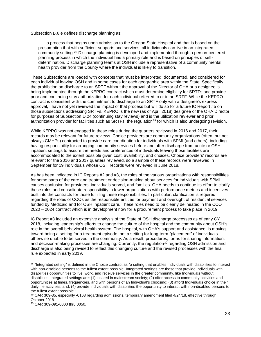Subsection B.6.e defines discharge planning as:

. . . a process that begins upon admission to the Oregon State Hospital and that is based on the presumption that with sufficient supports and services, all individuals can live in an integrated community setting.[28](#page-22-0) Discharge planning is developed and implemented through a person-centered planning process in which the individual has a primary role and is based on principles of selfdetermination. Discharge planning teams at OSH include a representative of a community mental health provider from the County where the individual is likely to transition.

These Subsections are loaded with concepts that must be interpreted, documented, and considered for each individual leaving OSH and in some cases for each geographic area within the State. Specifically, the prohibition on discharge to an SRTF without the approval of the Director of OHA or a designee is being implemented through the KEPRO contract which must determine eligibility for SRTFs and provide prior and continuing stay authorization for each individual referred to or in an SRTF. While the KEPRO contract is consistent with the commitment to discharge to an SRTF only with a designee's express approval, I have not yet reviewed the impact of that process but will do so for a future IC Report #5 on those subsections addressing SRTFs. KEPRO is the new (as of April 2018) designee of the OHA Director for purposes of Subsection D.24 (continuing stay reviews) and is the utilization reviewer and prior authorization provider for facilities such as SRTFs, the regulation<sup>[29](#page-22-1)</sup> for which is also undergoing revision.

While KEPRO was not engaged in these roles during the quarters reviewed in 2016 and 2017, their records may be relevant for future reviews. Choice providers are community organizations (often, but not always CMHPs) contracted to provide care coordination for individuals with SPMI (and others), including having responsibility for arranging community services before and after discharge from acute or OSH inpatient settings to assure the needs and preferences of individuals leaving those facilities are accommodated to the extent possible given cost, availability, and choices. Choice providers' records are relevant for the 2016 and 2017 quarters reviewed, so a sample of these records were reviewed in September for 19 individuals whose OSH records were reviewed in June 2018.

As has been indicated in IC Reports #2 and #3, the roles of the various organizations with responsibilities for some parts of the care and treatment or decision-making about services for individuals with SPMI causes confusion for providers, individuals served, and families. OHA needs to continue its effort to clarify these roles and consolidate responsibility in fewer organizations with performance metrics and incentives built into the contracts for those fulfilling these responsibilities. In particular, clarification is required regarding the roles of CCOs as the responsible entities for payment and oversight of residential services funded by Medicaid and for OSH inpatient care. These roles need to be clearly delineated in the CCO 2020 – 2024 contract which is in development now for a procurement process to take place in 2019.

IC Report #3 included an extensive analysis of the State of OSH discharge processes as of early CY 2018, including leadership's efforts to change the culture of the hospital and the community about OSH's role in the overall behavioral health system. The hospital, with OHA's support and assistance, is moving toward being a setting for a treatment episode, not a setting for long-term "placement" of individuals otherwise unable to be served in the community. As a result, procedures, forms for sharing information, and decision-making processes are changing. Currently, the regulation<sup>[30](#page-22-2)</sup> regarding OSH admission and discharge is also being revised to reflect this changing culture and the revised processes with the final rule expected in early 2019.

<span id="page-22-0"></span><sup>&</sup>lt;sup>28</sup> "Integrated setting" is defined in the Choice contract as "a setting that enables Individuals with disabilities to interact with non-disabled persons to the fullest extent possible. Integrated settings are those that provide Individuals with disabilities opportunities to live, work, and receive services in the greater community, like Individuals without disabilities. Integrated settings are: (1) located in mainstream society; (2) offer access to community activities and opportunities at times, frequencies, and with persons of an Individual's choosing: (3) afford Individuals choice in their daily life activities; and, (4) provide Individuals with disabilities the opportunity to interact with non-disabled persons to the fullest extent possible."

<span id="page-22-1"></span> $29$  OAR 309-35, especially -0163 regarding admissions, temporary amendment filed  $4/24/18$ , effective through October 2018.

<span id="page-22-2"></span><sup>30</sup> OAR 309-091-0000 thru 0050.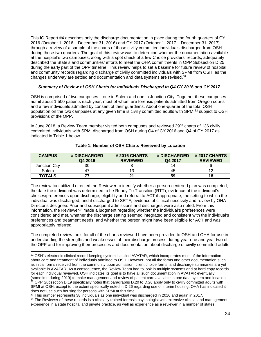This IC Report #4 describes only the discharge documentation in place during the fourth quarters of CY 2016 (October 1, 2016 – December 31, 2016) and CY 2017 (October 1, 2017 – December 31, 2017) through a review of a sample of the charts of those civilly committed individuals discharged from OSH during those two quarters. The goal of this review was to determine whether the documentation available at the hospital's two campuses, along with a spot check of a few Choice providers' records, adequately described the State's and communities' efforts to meet the OHA commitments in OPP Subsection D.25 during the early part of the OPP timeline. This review helps to set a baseline for future review of hospital and community records regarding discharge of civilly committed individuals with SPMI from OSH, as the changes underway are settled and documentation and data systems are revised.<sup>[31](#page-23-0)</sup>

#### *Summary of Review of OSH Charts for Individuals Discharged in Q4 CY 2016 and CY 2017*

OSH is comprised of two campuses – one in Salem and one in Junction City. Together these campuses admit about 1,500 patients each year, most of whom are forensic patients admitted from Oregon courts and a few individuals admitted by consent of their guardians. About one-quarter of the total OSH population on the two campuses at any given time is civilly committed adults with SPMI[32](#page-23-1) subject to OSH provisions of the OPP.

In June 2018, a Review Team member visited both campuses and reviewed 39<sup>[33](#page-23-2)</sup> charts of 136 civilly committed individuals with SPMI discharged from OSH during Q4 of CY 2016 and Q4 of CY 2017 as indicated in Table 1 below.

| <b>CAMPUS</b> | # DISCHARGED<br>Q4 2016 | <b>#2016 CHARTS</b><br><b>REVIEWED</b> | # DISCHARGED<br>Q4 2017 | # 2017 CHARTS<br><b>REVIEWED</b> |
|---------------|-------------------------|----------------------------------------|-------------------------|----------------------------------|
| Junction City | 30                      |                                        | 14                      |                                  |
| Salem         |                         | 13                                     | 45                      |                                  |
| <b>TOTALS</b> |                         |                                        | 59                      | 18                               |

#### **Table 1: Number of OSH Charts Reviewed by Location**

The review tool utilized directed the Reviewer to identify whether a person-centered plan was completed; the date the individual was determined to be Ready To Transition (RTT), evidence of the individual's choices/preferences upon discharge, eligibility and referral to ACT if appropriate, the setting to which the individual was discharged, and if discharged to SRTF, evidence of clinical necessity and review by OHA Director's designee. Prior and subsequent admissions and discharges were also noted. From this information, the Reviewer<sup>[34](#page-23-3)</sup> made a judgment regarding whether the individual's preferences were considered and met, whether the discharge setting seemed integrated and consistent with the individual's preferences and treatment needs, and whether the person might have been eligible for ACT and was appropriately referred.

The completed review tools for all of the charts reviewed have been provided to OSH and OHA for use in understanding the strengths and weaknesses of their discharge process during year one and year two of the OPP and for improving their processes and documentation about discharge of civilly committed adults

<span id="page-23-0"></span><sup>31</sup> OSH's electronic clinical record-keeping system is called AVATAR, which incorporates most of the information about care and treatment of individuals admitted to OSH. However, not all the forms and other documentation such as initial forms received from the community upon admission, client choice forms, and discharge summaries are yet available in AVATAR. As a consequence, the Review Team had to look in multiple systems and at hard copy records for each individual reviewed. OSH indicates its goal is to have all such documentation in AVATAR eventually (sometime during 2019) to make management and review of patient care available in one data system and location.  $32$  OPP Subsection D.19 specifically notes that paragraphs D.20 to D.26 apply only to civilly committed adults with SPMI at OSH, except to the extent specifically noted in D.26 regarding use of interim housing. OHA has indicated it does not use such housing for persons with SPMI at this time.

<span id="page-23-3"></span><span id="page-23-2"></span><span id="page-23-1"></span><sup>&</sup>lt;sup>33</sup> This number represents 38 individuals as one individual was discharged in 2016 and again in 2017. 34 The Reviewer of these records is a clinically trained forensic psychologist with extensive clinical and management experience in a state hospital and private practice, as well as experience as a reviewer in a number of states.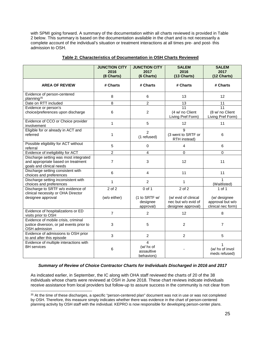with SPMI going forward. A summary of the documentation within all charts reviewed is provided in Table 2 below. This summary is based on the documentation available in the chart and is not necessarily a complete account of the individual's situation or treatment interactions at all times pre- and post- this admission to OSH.

|                                                                                                         | <b>JUNCTION CITY</b><br>2016<br>(8 Charts) | <b>JUNCTION CITY</b><br>2017<br>(6 Charts) | <b>SALEM</b><br>2016<br>(13 Charts)                               | <b>SALEM</b><br>2017<br>(12 Charts)                    |
|---------------------------------------------------------------------------------------------------------|--------------------------------------------|--------------------------------------------|-------------------------------------------------------------------|--------------------------------------------------------|
| <b>AREA OF REVIEW</b>                                                                                   | # Charts                                   | # Charts                                   | # Charts                                                          | # Charts                                               |
| Evidence of person-centered<br>planning <sup>35</sup>                                                   | 8                                          | 6                                          | 13                                                                | 12                                                     |
| Date on RTT included                                                                                    | 8                                          | $\overline{2}$                             | 13                                                                | 11                                                     |
| Evidence or person's<br>choice/preferences upon discharge                                               | 6                                          | $\overline{c}$                             | $\overline{11}$<br>(4 w/ no Client<br>Living Pref Form)           | 11<br>(8 w/ no Client<br>Living Pref Form)             |
| Evidence of CCO or Choice provider<br>involvement                                                       | $\mathbf{1}$                               | 5                                          | 12                                                                | 11                                                     |
| Eligible for or already in ACT and<br>referred                                                          | 1                                          | $\overline{2}$<br>(1 refused)              | 9<br>(3 went to SRTF or<br>RTH instead)                           | 6                                                      |
| Possible eligibility for ACT without<br>referral                                                        | 5                                          | $\Omega$                                   | 4                                                                 | 6                                                      |
| Evidence of ineligibility for ACT                                                                       | $\overline{2}$                             | 4                                          | $\mathbf 0$                                                       | 0                                                      |
| Discharge setting was most integrated<br>and appropriate based on treatment<br>goals and clinical needs | $\overline{7}$                             | 3                                          | 12                                                                | 11                                                     |
| Discharge setting consistent with<br>choices and preferences                                            | 6                                          | 4                                          | 11                                                                | 11                                                     |
| Discharge setting inconsistent with<br>choices and preferences                                          | 1                                          | $\overline{c}$                             | 1                                                                 | 1<br>(Waitlisted)                                      |
| Discharge to SRTF w/o evidence of<br>clinical necessity or OHA Director                                 | $\overline{2}$ of 2                        | $0$ of 1                                   | 2 of 2                                                            | 1 of 1                                                 |
| designee approval                                                                                       | (w/o either)                               | (1 to SRTF w/<br>designee<br>approval)     | (w/ evid of clinical<br>nec but w/o evid of<br>designee approval) | (w/ designee<br>approval but w/o<br>clinical nec form) |
| Evidence of hospitalizations or ED<br>visits prior to OSH                                               | $\overline{7}$                             | $\overline{2}$                             | 12                                                                | 8                                                      |
| Evidence of mobile crisis, criminal<br>justice diversion, or jail events prior to<br>OSH admission      | 3                                          | 5                                          | 2                                                                 | $\overline{7}$                                         |
| Evidence of admissions to OSH prior<br>to and after this episode                                        | 3                                          | $\overline{2}$                             | $\overline{2}$                                                    | 5                                                      |
| Evidence of multiple interactions with<br><b>BH</b> services                                            | 6                                          | 4<br>(w/ hx of<br>assaultive<br>behaviors) |                                                                   | 1<br>(w/ hx of invol<br>meds refused)                  |

# **Table 2: Characteristics of Documentation in OSH Charts Reviewed**

# *Summary of Review of Choice Contractor Charts for Individuals Discharged in 2016 and 2017*

As indicated earlier, in September, the IC along with OHA staff reviewed the charts of 20 of the 38 individuals whose charts were reviewed at OSH in June 2018. These chart reviews indicate individuals receive assistance from local providers but follow-up to assure success in the community is not clear from

<span id="page-24-0"></span><sup>&</sup>lt;sup>35</sup> At the time of these discharges, a specific "person-centered plan" document was not in use or was not completed by OSH. Therefore, this measure simply indicates whether there was evidence in the chart of person-centered planning activity by OSH staff with the individual. KEPRO is now responsible for developing person-center plans.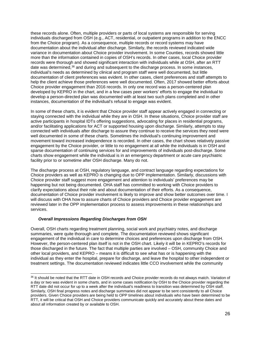these records alone. Often, multiple providers or parts of local systems are responsible for serving individuals discharged from OSH (e.g., ACT, residential, or outpatient programs in addition to the ENCC from the Choice program). As a consequence, multiple records or record systems may have documentation about the individual after discharge. Similarly, the records reviewed indicated wide variance in documentation about Choice provider involvement. In some Counties, records showed little more than the information contained in copies of OSH's records. In other cases, local Choice provider records were thorough and showed significant interaction with individuals while at OSH, after an RTT date was determined, $36$  and during and subsequent to the discharge process. In some instances, individual's needs as determined by clinical and program staff were well documented, but little documentation of client preferences was evident. In other cases, client preferences and staff attempts to help the client achieve those preferences were well documented. Often, 2017 showed better efforts about Choice provider engagement than 2016 records. In only one record was a person-centered plan developed by KEPRO in the chart, and in a few cases peer workers' efforts to engage the individual to develop a person-directed plan was documented with at least two such plans completed and in other instances, documentation of the individual's refusal to engage was evident.

In some of these charts, it is evident that Choice provider staff appear actively engaged in connecting or staying connected with the individual while they are in OSH. In these situations, Choice provider staff are active participants in hospital IDTs offering suggestions, advocating for places in residential programs, and/or facilitating applications for ACT or supported housing upon discharge. Similarly, attempts to stay connected with individuals after discharge to assure they continue to receive the services they need were well documented in some of these charts. Sometimes the individual's continuing improvement and movement toward increased independence is recorded. In other cases, the chart shows relatively passive engagement by the Choice provider, or little to no engagement at all while the individuals is in OSH and sparse documentation of continuing services for and improvements of individuals post-discharge. Some charts show engagement while the individual is in an emergency department or acute care psychiatric facility prior to or sometime after OSH discharge. Many do not.

The discharge process at OSH, regulatory language, and contract language regarding expectations for Choice providers as well as KEPRO is changing due to OPP implementation. Similarly, discussions with Choice provider staff suggest more engagement and attention to individuals' preferences may be happening but not being documented. OHA staff has committed to working with Choice providers to clarify expectations about their role and about documentation of their efforts. As a consequence, documentation of Choice provider involvement is likely to improve and show better outcomes over time. I will discuss with OHA how to assure charts of Choice providers and Choice provider engagement are reviewed later in the OPP implementation process to assess improvements in these relationships and services.

# *Overall Impressions Regarding Discharges from OSH*

Overall, OSH charts regarding treatment planning, social work and psychiatry notes, and discharge summaries, were quite thorough and complete. The documentation reviewed shows significant engagement of the individual in care to determine choices and preferences upon discharge from OSH. However, the person-centered plan itself is not in the OSH chart. Likely it will be in KEPRO's records for those discharged in the future. The fact that multiple parties are involved – OSH, community Choice and other local providers, and KEPRO – means it is difficult to see what has or is happening with the individual as they enter the hospital, prepare for discharge, and leave the hospital to other independent or treatment settings. The documentation reviewed indicates little CCO involvement while the community

<span id="page-25-0"></span><sup>36</sup> It should be noted that the RTT date in OSH records and Choice provider records do not always match. Variation of a day or two was evident in some charts, and in some cases notification by OSH to the Choice provider regarding the RTT date did not occur for up to a week after the individual's readiness to transition was determined by OSH staff. Similarly, OSH final progress notes and discharge summaries did not appear to be sent consistently to all Choice providers. Given Choice providers are being held to OPP timelines about individuals who have been determined to be RTT, it will be critical that OSH and Choice providers communicate quickly and accurately about these dates and about all information created by or available to OSH.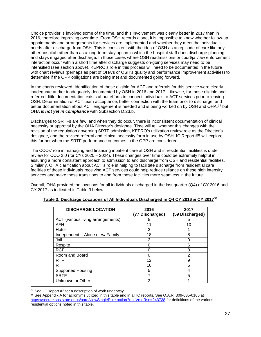Choice provider is involved some of the time, and this involvement was clearly better in 2017 than in 2016, therefore improving over time. From OSH records alone, it is impossible to know whether follow-up appointments and arrangements for services are implemented and whether they meet the individual's needs after discharge from OSH. This is consistent with the idea of OSH as an episode of care like any other hospital rather than as a long-term stay option in which the hospital staff does discharge planning and stays engaged after discharge. In those cases where OSH readmissions or court/jail/law enforcement interaction occur within a short time after discharge suggests on-going services may need to be intensified (see section above). KEPRO's role in this process will need to be documented in the future with chart reviews (perhaps as part of OHA's or OSH's quality and performance improvement activities) to determine if the OPP obligations are being met and documented going forward.

In the charts reviewed, Identification of those eligible for ACT and referrals for this service were clearly inadequate and/or inadequately documented by OSH in 2016 and 2017. Likewise, for those eligible and referred, little documentation exists about efforts to connect individuals to ACT services prior to leaving OSH. Determination of ACT team acceptance, better connection with the team prior to discharge, and better documentation about ACT engagement is needed and is being worked on by OSH and OHA,<sup>[37](#page-26-0)</sup> but OHA is *not yet in compliance* with Subsection D.23.b.

Discharges to SRTFs are few, and when they do occur, there is inconsistent documentation of clinical necessity or approval by the OHA Director's designee. Time will tell whether this changes with the revision of the regulation governing SRTF admission, KEPRO's utilization review role as the Director's designee, and the revised referral and clinical necessity form in use by OSH. IC Report #5 will explore this further when the SRTF performance outcomes in the OPP are considered.

The CCOs' role in managing and financing inpatient care at OSH and in residential facilities is under review for CCO 2.0 (for CYs 2020 – 2024). These changes over time could be extremely helpful in assuring a more consistent approach to admission to and discharge from OSH and residential facilities. Similarly, OHA clarification about ACT's role in helping to facilitate discharge from residential care facilities of those individuals receiving ACT services could help reduce reliance on these high intensity services and make these transitions to and from these facilities more seamless in the future.

Overall, OHA provided the locations for all individuals discharged in the last quarter (Q4) of CY 2016 and CY 2017 as indicated in Table 3 below.

| <b>DISCHARGE LOCATION</b>         | 2016<br>(77 Discharged) | 2017<br>(59 Discharged) |
|-----------------------------------|-------------------------|-------------------------|
| ACT (various living arrangements) | 8                       | 5                       |
| <b>AFH</b>                        | 11                      | 10                      |
| Hotel                             | 2                       |                         |
| Independent – Alone or w/ Family  | 18                      | 8                       |
| Jail                              | 2                       |                         |
| Respite                           |                         | 6                       |
| <b>RCF</b>                        | n                       | 3                       |
| Room and Board                    | ი                       | 2                       |
| <b>RTF</b>                        | 12                      | 9                       |
| <b>RTH</b>                        | 10                      | 5                       |
| <b>Supported Housing</b>          | 5                       |                         |
| <b>SRTF</b>                       |                         | 5                       |
| Unknown or Other                  | 2                       |                         |

**Table 3: Discharge Locations of All Individuals Discharged in Q4 CY 2016 & CY 2017[38](#page-26-1)**

<span id="page-26-0"></span> <sup>37</sup> See IC Report #3 for a description of work underway.

<span id="page-26-1"></span><sup>38</sup> See Appendix A for acronyms utilized in this table and in all IC reports. See O.A.R. 309-035-0105 at <https://secure.sos.state.or.us/oard/viewSingleRule.action?ruleVrsnRsn=243738> for definitions of the various residential options noted in this table.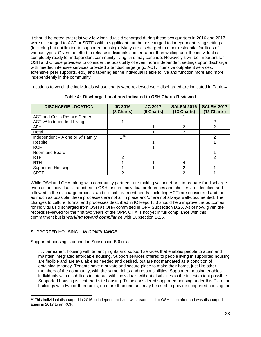It should be noted that relatively few individuals discharged during these two quarters in 2016 and 2017 were discharged to ACT or SRTFs with a significant number discharged to independent living settings (including but not limited to supported housing). Many are discharged to other residential facilities of various types. Given the effort to release individuals sooner rather than waiting until the individual is completely ready for independent community living, this may continue. However, it will be important for OSH and Choice providers to consider the possibility of even more independent settings upon discharge with needed intensive services provided after discharge (e.g., ACT, intensive outpatient services, extensive peer supports, etc.) and tapering as the individual is able to live and function more and more independently in the community.

Locations to which the individuals whose charts were reviewed were discharged are indicated in Table 4.

| <b>DISCHARGE LOCATION</b>            | <b>JC 2016</b><br>(8 Charts) | <b>JC 2017</b><br>(6 Charts) | <b>SALEM 2016</b><br>(13 Charts) | <b>SALEM 2017</b><br>(12 Charts) |
|--------------------------------------|------------------------------|------------------------------|----------------------------------|----------------------------------|
| <b>ACT and Crisis Respite Center</b> |                              |                              |                                  |                                  |
| ACT w/ Independent Living            |                              |                              |                                  | 2                                |
| <b>AFH</b>                           |                              |                              | っ                                | ⌒                                |
| Hotel                                |                              |                              | 2                                |                                  |
| Independent - Alone or w/ Family     | 139                          |                              |                                  | っ                                |
| Respite                              |                              |                              |                                  |                                  |
| <b>RCF</b>                           |                              |                              |                                  |                                  |
| Room and Board                       |                              |                              |                                  |                                  |
| <b>RTF</b>                           | 2                            |                              |                                  | ົ                                |
| <b>RTH</b>                           |                              |                              | 4                                |                                  |
| <b>Supported Housing</b>             |                              |                              | າ                                |                                  |
| <b>SRTF</b>                          | 2                            |                              | っ                                |                                  |

**Table 4: Discharge Locations Indicated in OSH Charts Reviewed**

While OSH and OHA, along with community partners, are making valiant efforts to prepare for discharge even as an individual is admitted to OSH, assure individual preferences and choices are identified and followed in the discharge process, and clinical treatment needs (including ACT) are considered and met as much as possible, these processes are not all in place and/or are not always well-documented. The changes to culture, forms, and processes described in IC Report #3 should help improve the outcomes for individuals discharged from OSH as OHA committed in OPP Subsection D.25. As of now, given the records reviewed for the first two years of the OPP, OHA is not yet in full compliance with this commitment but is *working toward compliance* with Subsection D.25.

# SUPPORTED HOUSING – *IN COMPLIANCE*

Supported housing is defined in Subsection B.6.o. as:

. . . permanent housing with tenancy rights and support services that enables people to attain and maintain integrated affordable housing. Support services offered to people living in supported housing are flexible and are available as needed and desired, but are not mandated as a condition of obtaining tenancy. Tenants have a private and secure place to make their home, just like other members of the community, with the same rights and responsibilities. Supported housing enables individuals with disabilities to interact with individuals without disabilities to the fullest extent possible. Supported housing is scattered site housing. To be considered supported housing under this Plan, for buildings with two or three units, no more than one unit may be used to provide supported housing for

<span id="page-27-0"></span> $39$  This individual discharged in 2016 to independent living was readmitted to OSH soon after and was discharged again in 2017 to an RCF.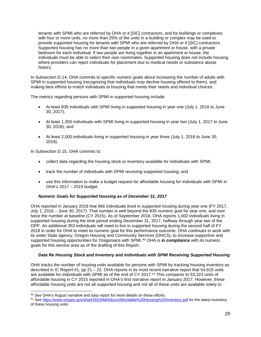tenants with SPMI who are referred by OHA or it [SIC] contractors, and for buildings or complexes with four or more units, no more than 25% of the units in a building or complex may be used to provide supported housing for tenants with SPMI who are referred by OHA or it [SIC] contractors. Supported housing has no more than two people in a given apartment or house, with a private bedroom for each individual. If two people are living together in an apartment or house, the individuals must be able to select their own roommates. Supported housing does not include housing where providers can reject individuals for placement due to medical needs or substance abuse history.

In Subsection D.14, OHA commits to specific numeric goals about increasing the number of adults with SPMI in supported housing (recognizing that individuals may decline housing offered to them), and making best efforts to match individuals to housing that meets their needs and individual choices.

The metrics regarding persons with SPMI in supported housing include:

- At least 835 individuals with SPMI living in supported housing in year one (July 1, 2016 to June 30, 2017);
- At least 1,355 individuals with SPMI living in supported housing in year two (July 1, 2017 to June 30, 2018); and
- At least 2,000 individuals living in supported housing in year three (July 1, 2018 to June 30, 2019).

In Subsection D.15, OHA commits to:

- collect data regarding the housing stock or inventory available for individuals with SPMI;
- track the number of individuals with SPMI receiving supported housing; and
- use this information to make a budget request for affordable housing for individuals with SPMI in OHA's 2017 – 2019 budget.

#### *Numeric Goals for Supported Housing as of December 31, 2017*

OHA reported in January 2018 that 966 individuals lived in supported housing during year one (FY 2017, July 1, 2016 – June 30, 2017). That number is well beyond the 835 numeric goal for year one, and over twice the number at baseline (CY 2015). As of September 2018, OHA reports 1,002 individuals living in supported housing during the time period ending December 31, 2017, halfway through year two of the OPP. An additional 353 individuals will need to live in supported housing during the second half of FY 2018 in order for OHA to meet its numeric goal for this performance outcome. OHA continues to work with its sister State agency, Oregon Housing and Community Services (OHCS), to increase supportive and supported housing opportunities for Oregonians with SPMI.<sup>[40](#page-28-0)</sup> OHA is *in compliance* with its numeric goals for this service area as of the drafting of this Report.

#### *Data Re Housing Stock and Inventory and Individuals with SPMI Receiving Supported Housing*

OHA tracks the number of housing units available for persons with SPMI by tracking housing inventory as described in IC Report #1, pp 21 – 22. OHA reports in its most recent narrative report that 54,615 units are available for individuals with SPMI as of the end of CY 2017.[41](#page-28-1) This compares to 53,323 units of affordable housing in CY 2015 reported in OHA's first narrative report in January 2017. However, these affordable housing units are not all supported housing and not all of these units are available solely to

<span id="page-28-0"></span><sup>&</sup>lt;sup>40</sup> See OHA's August narrative and data report for more details on these efforts.

<span id="page-28-1"></span><sup>41</sup> Se[e https://www.oregon.gov/oha/HSD/AMH/docs/Affordable%20Housing%20Inventory.pdf](https://www.oregon.gov/oha/HSD/AMH/docs/Affordable%20Housing%20Inventory.pdf) for the latest inventory of these housing units.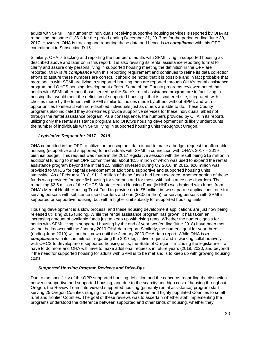adults with SPMI. The number of individuals receiving supportive housing services is reported by OHA as remaining the same (1,361) for the period ending December 31, 2017 as for the period ending June 30, 2017. However, OHA is tracking and reporting these data and hence is *in compliance* with this OPP commitment in Subsection D.15.

Similarly, OHA is tracking and reporting the number of adults with SPMI living in supported housing as described above and later on in this report. It is also revising its rental assistance reporting format to clarify and assure only persons living in supported housing meeting the definition in the OPP are reported. OHA is *in compliance* with this reporting requirement and continues to refine its data collection efforts to assure these numbers are correct. It should be noted that it is possible and in fact probable that more adults with SPMI are living in supported housing than are reported through OHA's rental assistance program and OHCS housing development efforts. Some of the County programs reviewed noted that adults with SPMI other than those served by the State's rental assistance program are in fact living in housing that would meet the definition of supported housing – that is, scattered site, integrated, with choices made by the tenant with SPMI similar to choices made by others without SPMI, and with opportunities to interact with non-disabled individuals just as others are able to do. These County programs also indicated they sometimes provide supportive services for these individuals, albeit not through the rental assistance program. As a consequence, the numbers provided by OHA in its reports utilizing only the rental assistance program and OHCS's housing development units likely undercounts the number of individuals with SPMI living in supported housing units throughout Oregon.

#### *Legislative Request for 2017 – 2019*

OHA committed in the OPP to utilize the housing unit data it had to make a budget request for affordable housing (supportive and supported) for individuals with SPMI in connection with OHA's 2017 – 2019 biennial budget. This request was made in the 2017 legislative session with the result being \$15 million in additional funding to meet OPP commitments, about \$2.5 million of which was used to expand the rental assistance program beyond the initial \$2.5 million invested during CY 2016. In 2015, \$20 million was provided to OHCS for capital development of additional supportive and supported housing units statewide. As of February 2018, \$11.2 million of these funds had been awarded. Another portion of these funds was provided for specific housing for veterans and for those with substance use disorders. The remaining \$2.5 million of the OHCS Mental Health Housing Fund (MHHF) was braided with funds from OHA's Mental Health Housing Trust Fund to provide up to \$5 million in two separate applications, one for serving persons with substance use disorders and one (\$3.06 million) for serving persons with SPMI in supported or supportive housing, but with a higher unit subsidy for supported housing units.

Housing development is a slow process, and these housing development applications are just now being released utilizing 2015 funding. While the rental assistance program has grown, it has taken an increasing amount of available funds just to keep up with rising rents. Whether the numeric goals for adults with SPMI living in supported housing by the end of year two (ending June 2018) have been met will not be known until the January 2019 OHA data report. Similarly, the numeric goal for year three (ending June 2019) will not be known until the January 2020 OHA data report. While OHA is *in compliance* with its commitment regarding the 2017 legislative request and is working collaboratively with OHCS to develop more supported housing units, the State of Oregon – including the legislature – will have to do more and OHA will have to make additional requests in future years (2019, 2020, and beyond) if the need for supported housing for adults with SPMI is to be met and is to keep up with growing housing costs.

#### *Supported Housing Program Reviews and Drive-Bys*

Due to the specificity of the OPP supported housing definition and the concerns regarding the distinction between supportive and supported housing, and due to the scarcity and high cost of housing throughout Oregon, the Review Team interviewed supported housing (primarily rental assistance) program staff serving 25 Oregon Counties ranging from large urban/suburban and highly populated Counties to small rural and frontier Counties. The goal of these reviews was to ascertain whether staff implementing the programs understood the difference between supported and other kinds of housing, whether they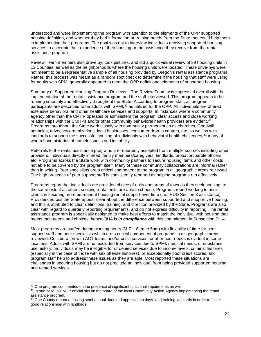understood and were implementing the program with attention to the elements of the OPP supported housing definition, and whether they had information or training needs from the State that could help them in implementing their programs. The goal was not to interview individuals receiving supported housing services to ascertain their experience of their housing or the assistance they receive from the rental assistance program.

Review Team members also drove by, took pictures, and did a quick visual review of 39 housing units in 13 Counties, as well as the neighborhoods where the housing units were located. These drive-bys were not meant to be a representative sample of all housing provided by Oregon's rental assistance programs. Rather, this process was meant as a random spot check to determine if the housing that staff were using for adults with SPMI generally appeared to meet the OPP definitional elements of supported housing.

Summary of Supported Housing Program Reviews – The Review Team was impressed overall with the implementation of the rental assistance program and the staff interviewed. This program appears to be running smoothly and effectively throughout the State. According to program staff, all program participants are described to be adults with SPMI,<sup>[42](#page-30-0)</sup> as utilized for the OPP. All individuals are offered extensive behavioral and other healthcare services and supports. In instances where a community agency other than the CMHP operates or administers the program, clear access and close working relationships with the CMHPs and/or other community behavioral health providers are evident.<sup>[43](#page-30-1)</sup> Programs throughout the State work closely with community partners such as churches, Goodwill agencies, advocacy organizations, local businesses, consumer drop-in centers, etc. as well as with landlords to support the successful housing of individuals with behavioral health challenges, <sup>[44](#page-30-2)</sup> many of whom have histories of homelessness and instability.

Referrals to the rental assistance programs are reportedly accepted from multiple sources including other providers, individuals directly in need, family members/caregivers, landlords, probation/parole officers, etc. Programs across the State work with community partners to secure housing items and other costs not able to be covered by the program itself. Many of these community collaborations are informal rather than in writing. Peer specialists are a critical component to the program in all geographic areas reviewed. The high presence of peer support staff is consistently reported as helping programs run effectively.

Programs report that individuals are provided choice of units and areas of town as they seek housing, to the same extent as others seeking rental units are able to choose. Programs report working to assist clients in securing more permanent housing rental support over time (i.e., HUD Section 8 assistance). Providers across the State appear clear about the difference between supported and supportive housing, and this is attributed to clear definitions, training, and direction provided by the State. Programs are also clear with regard to quarterly reporting requirements, and do not express difficulty in reporting. The rental assistance program is specifically designed to make best efforts to match the individual with housing that meets their needs and choices, hence OHA is *in compliance* with this commitment in Subsection D.14.

Most programs are staffed during working hours (M-F – 8am to 5pm) with flexibility of time for peer support staff and peer specialists which are a critical component of programs in all geographic areas reviewed. Collaboration with ACT teams and/or crisis services for after hour needs is evident in some locations. Adults with SPMI are not excluded from services due to SPMI, medical needs, or substance use history. Individuals may be ineligible for or denied services due to income levels, criminal histories (especially in the case of those with sex offense histories), or exceptionally poor credit scores; and program staff help to address these issues as they are able. Most reported these situations are challenges in securing housing but do not preclude an individual from being provided supported housing and related services.

<span id="page-30-0"></span><sup>&</sup>lt;sup>42</sup> One program commented on the presence of significant functional impairments as well.

<span id="page-30-1"></span><sup>&</sup>lt;sup>43</sup> In one case, a CMHP official sits on the board of the local Community Action Agency implementing the rental assistance program.

<span id="page-30-2"></span><sup>44</sup> One County reported hosting semi-annual "landlord appreciation days" and training landlords in order to foster good relationships with landlords.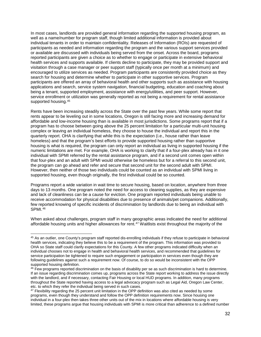In most cases, landlords are provided general information regarding the supported housing program, as well as a name/number for program staff, though limited additional information is provided about individual tenants in order to maintain confidentiality. Releases of Information (ROIs) are requested of participants as needed and information regarding the program and the various support services provided or available are discussed with individuals being served from the onset. Across the board, programs reported participants are given a choice as to whether to engage or participate in extensive behavioral health services and supports available. If clients decline to participate, they may be provided support and visitation through a case manager or peer support staff (typically once per month at a minimum) and encouraged to utilize services as needed. Program participants are consistently provided choice as they search for housing and determine whether to participate in other supportive services. Program participants are offered an array of behavioral health and other supports such as assistance with housing applications and search, service system navigation, financial budgeting, education and coaching about being a tenant, supported employment, assistance with energy/utilities, and peer support. However, service enrollment or utilization was generally reported as not being a requirement for rental assistance supported housing.[45](#page-31-0)

Rents have been increasing steadily across the State over the past few years. While some report that rents appear to be leveling out in some locations, Oregon is still facing more and increasing demand for affordable and low-income housing than is available in most jurisdictions. Some programs report that if a program has to choose between going above the 25 percent limitation for a particular multi-unit housing complex or leaving an individual homeless, they choose to house the individual and report this in the quarterly report. OHA is clarifying that while this is the expectation (i.e., house rather than leave homeless) and that the program's best efforts to provide supported housing rather than supportive housing is what is required, the program can only report an individual as living in supported housing if the numeric limitations are met. For example, OHA is working to clarify that if a four-plex already has in it one individual with SPMI referred by the rental assistance program, and if a second unit comes open within that four-plex and an adult with SPMI would otherwise be homeless but for a referral to this second unit, the program can go ahead and refer and secure that second unit for the second adult with SPMI. However, then neither of those two individuals could be counted as an individual with SPMI living in supported housing, even though originally, the first individual could be so counted.

Programs report a wide variation in wait time to secure housing, based on location, anywhere from three days to 13 months. One program noted the need for access to cleaning supplies, as they are expensive and lack of cleanliness can be a cause for eviction. One program reported individuals being unable to receive accommodation for physical disabilities due to presence of animals/pet companions. Additionally, few reported knowing of specific incidents of discrimination by landlords due to being an individual with SPMI.[46](#page-31-1)

When asked about challenges, program staff in many geographic areas indicated the need for additional affordable housing units and higher allowances for rent.<sup>[47](#page-31-2)</sup> Waitlists exist throughout the majority of the

<span id="page-31-0"></span> <sup>45</sup> As an outlier, one County's program staff reported dis-enrolling individuals if they refuse to participate in behavioral health services, indicating they believe this to be a requirement of the program. This information was provided to OHA so State staff could clarify expectations for this County. A few other programs indicated difficulty when an individual chooses not to engage in health and behavioral health services, and recommended that guidelines for service participation be tightened to require such engagement or participation in services even though they are following guidelines against such a requirement now. Of course, to do so would be inconsistent with the OPP supported housing definition.

<span id="page-31-1"></span><sup>46</sup> Few programs reported discrimination on the basis of disability per se as such discrimination is hard to determine. If an issue regarding discrimination comes up, programs across the State report working to address the issue directly with the landlord, and if necessary, contacting Fair Housing or local HUD programs. In addition, many programs throughout the State reported having access to a legal advocacy program such as Legal Aid, Oregon Law Center, etc. to which they refer the individual being served in such cases.

<span id="page-31-2"></span><sup>&</sup>lt;sup>47</sup> Flexibility regarding the 25 percent unit limitation in the OPP definition was also cited as needed by some programs, even though they understand and follow the OPP definition requirements now. Since housing one individual in a four-plex then takes three other units out of the mix in locations where affordable housing is very limited, these programs argue that housing individuals with SPMI is more critical than adherence to a defined number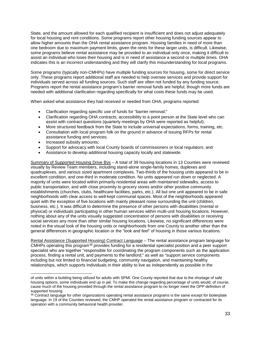State, and the amount allowed for each qualified recipient is insufficient and does not adjust adequately for local housing and rent conditions. Some programs report other housing funding sources appear to allow higher amounts than the OHA rental assistance program. Housing families in need of more than one bedroom due to maximum payment limits, given the rents for these larger units, is difficult. Likewise, some programs believe rental assistance may be provided to an individual only once, making it difficult to assist an individual who loses their housing and is in need of assistance a second or multiple times. OHA indicates this is an incorrect understanding and they will clarify this misunderstanding for local programs.

Some programs (typically non-CMHPs) have multiple funding sources for housing, some for direct service only. These programs report additional staff are needed to help oversee services and provide support for individuals served across all funding sources. Such staff are often not funded by any funding source. Programs report the rental assistance program's barrier removal funds are helpful, though more funds are needed with additional clarification regarding specifically for what costs these funds may be used.

When asked what assistance they had received or needed from OHA, programs reported:

- Clarification regarding specific use of funds for "barrier removal;"
- Clarification regarding OHA contracts; accessibility to a point person at the State level who can assist with contract questions (quarterly meetings by OHA were reported as helpful);
- More structured feedback from the State to include universal expectations, forms, training, etc.
- Consultation with local program folk on the ground in advance of issuing RFPs for rental assistance funding and services;
- Increased subsidy amounts;
- Support for advocacy with local County boards of commissioners or local regulators; and
- Assistance to develop additional housing capacity locally and statewide.

Summary of Supported Housing Drive Bys – A total of 39 housing locations in 13 Counties were reviewed visually by Review Team members, including stand-alone single-family homes, duplexes and quadruplexes, and various sized apartment complexes. Two-thirds of the housing units appeared to be in excellent condition, and one-third in moderate condition. No units appeared run down or neglected. A majority of units were located within primarily residential areas with maintained sidewalks, access to public transportation, and with close proximity to grocery stores and/or other positive community establishments (churches, clubs, healthcare facilities, parks, etc.). All but one unit appeared to be in safe neighborhoods with clear access to well-kept communal spaces. Most of the neighborhoods appeared quiet with the exception of five locations with mainly pleasant noise surrounding the unit (children, business, etc.). It was difficult to determine the presence of other persons with disabilities (mental or physical) or individuals participating in other human services within multi-unit housing locations. However, nothing about any of the units visually suggested concentration of persons with disabilities or receiving social services any more than other similar housing locations. Likewise, no significant differences were noted in the visual look of the housing units or neighborhoods from one County to another other than the general differences in geographic location or the "look and feel" of housing in those various locations.

Rental Assistance (Supported Housing) Contract Language – The rental assistance program language for CMHPs operating this program<sup>[48](#page-32-0)</sup> provides funding for a residential specialist position and a peer support specialist who are together "responsible for coordinating the program components such as the application process, finding a rental unit, and payments to the landlord;" as well as "support service components including but not limited to financial budgeting, community navigation, and maintaining healthy relationships, which supports Individuals in their ability to live as independently as possible in the

of units within a building being utilized for adults with SPMI. One County reported that due to the shortage of safe housing options, some individuals end up in jail. To make this change regarding percentage of units would, of course, cause much of the housing provided through the rental assistance program to no longer meet the OPP definition of supported housing.

<span id="page-32-0"></span><sup>48</sup> Contract language for other organizations operating rental assistance programs is the same except for boilerplate language. In 19 of the Counties reviewed, the CMHP operated the rental assistance program or contracted for its operation with a community behavioral health provider.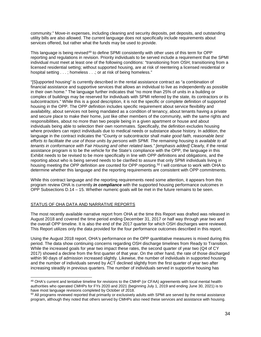community." Move-in expenses, including cleaning and security deposits, pet deposits, and outstanding utility bills are also allowed. The current language does not specifically include requirements about services offered, but rather what the funds may be used to provide.

This language is being revised<sup>[49](#page-33-0)</sup> to define SPMI consistently with other uses of this term for OPP reporting and regulations in revision. Priority individuals to be served include a requirement that the SPMI individual must meet at least one of the following conditions: "transitioning from OSH; transitioning from a licensed residential setting; without supported housing, are at risk of reentering a licensed residential or hospital setting  $\dots$ ; homeless  $\dots$ ; or at risk of being homeless."

"[S]upported housing" is currently described in the rental assistance contract as "a combination of financial assistance and supportive services that allows an individual to live as independently as possible in their own home." The language further indicates that "no more than 25% of units in a building or complex of buildings may be reserved for individuals with SPMI referred by the state, its contractors or its subcontractors." While this is a good description, it is not the specific or complete definition of supported housing in the OPP. The OPP definition includes specific requirement about service flexibility and availability, about services not being mandated as a condition of tenancy, about tenants having a private and secure place to make their home, just like other members of the community, with the same rights and responsibilities, about no more than two people being in a given apartment or house and about individuals being able to selection their own roommates. Specifically, the definition excludes housing where providers can reject individuals due to medical needs or substance abuse history. In addition, the language in the contract indicates the "County or subcontractor shall *make good faith, reasonable best efforts to facilitate the use of those units by persons with SPMI. The remaining housing is available to all tenants in conformance with Fair Housing and other related laws." [emphasis added]* Clearly, if the rental assistance program is to be the vehicle for the State's compliance with the OPP, the language in this Exhibit needs to be revised to be more specifically in line with OPP definitions and obligations, and the reporting about who is being served needs to be clarified to assure that only SPMI individuals living in housing meeting the OPP definition are counted for OPP reporting.<sup>[50](#page-33-1)</sup> I will continue to work with OHA to determine whether this language and the reporting requirements are consistent with OPP commitments.

While this contract language and the reporting requirements need some attention, it appears from this program review OHA is currently *in compliance* with the supported housing performance outcomes in OPP Subsections D.14 – 15. Whether numeric goals will be met in the future remains to be seen.

# STATUS OF OHA DATA AND NARRATIVE REPORTS

The most recently available narrative report from OHA at the time this Report was drafted was released in August 2018 and covered the time period ending December 31, 2017 or half way through year two and the overall OPP timeline. It is also the end of the 2017 quarter for which OSH discharges were reviewed. This Report utilizes only the data provided for the four performance outcomes described in this report.

Using the August 2018 report, OHA's performance on the OPP quantitative measures is mixed during this period. The data show continuing concerns regarding OSH discharge timelines from Ready to Transition. While the increased goals for year two impact these rates, the second quarter of year two (Q4 of CY) 2017) showed a decline from the first quarter of that year. On the other hand, the rate of those discharged within 90 days of admission increased slightly. Likewise, the number of individuals in supported housing and the number of individuals served by ACT declined slightly from the first quarter of year two after increasing steadily in previous quarters. The number of individuals served in supportive housing has

<span id="page-33-0"></span><sup>49</sup> OHA's current and tentative timeline for revisions to the CMHP (or CFAA) agreements with local mental health authorities who operated CMHPs for FYs 2020 and 2021 (beginning July 1, 2019 and ending June 30, 2021) is to have most language revisions completed by October of 2018.

<span id="page-33-1"></span><sup>&</sup>lt;sup>50</sup> All programs reviewed reported that primarily or exclusively adults with SPMI are served by the rental assistance program, although they noted that others served by CMHPs also need these services and assistance with housing.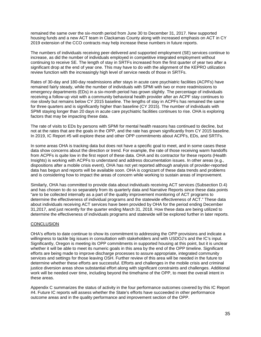remained the same over the six-month period from June 30 to December 31, 2017. New supported housing funds and a new ACT team in Clackamas County along with increased emphasis on ACT in CY 2019 extension of the CCO contracts may help increase these numbers in future reports.

The numbers of individuals receiving peer-delivered and supported employment (SE) services continue to increase, as did the number of individuals employed in competitive integrated employment without continuing to receive SE. The length of stay in SRTFs increased from the first quarter of year two after a significant drop at the end of year one. This may have to do with the alignment of the KEPRO utilization review function with the increasingly high level of service needs of those in SRTFs.

Rates of 30-day and 180-day readmissions after stays in acute care psychiatric facilities (ACPFs) have remained fairly steady, while the number of individuals with SPMI with two or more readmissions to emergency departments (EDs) in a six-month period has grown slightly. The percentage of individuals receiving a follow-up visit with a community behavioral health provider after an ACPF stay continues to rise slowly but remains below CY 2015 baseline. The lengths of stay in ACPFs has remained the same for three quarters and is significantly higher than baseline (CY 2015). The number of individuals with SPMI staying longer than 20 days in acute care psychiatric facilities continues to rise. OHA is exploring factors that may be impacting these data.

The rate of visits to EDs by persons with SPMI for mental health reasons has continued to decline, but not at the rates that are the goals in the OPP, and the rate has grown significantly from CY 2015 baseline. In 2019, IC Report #5 will explore these and other OPP commitments about ACPFs, EDs, and SRTFs.

In some areas OHA is tracking data but does not have a specific goal to meet, and in some cases these data show concerns about the direction or trend. For example, the rate of those receiving warm handoffs from ACPFs is quite low in the first report of these data. OHA and its contractor for these reports (Health Insights) is working with ACPFs to understand and address documentation issues. In other areas (e.g., dispositions after a mobile crisis event), OHA has not yet reported although analysis of provider-reported data has begun and reports will be available soon. OHA is cognizant of these data trends and problems and is considering how to impact the areas of concern while working to sustain areas of improvement.

Similarly, OHA has committed to provide data about individuals receiving ACT services (Subsection D.4) and has chosen to do so separately from its quarterly data and Narrative Reports since these data points "are to be collected internally as a part of the quality improvement monitoring of ACT programs to determine the effectiveness of individual programs and the statewide effectiveness of ACT." These data about individuals receiving ACT services have been provided by OHA for the period ending December 31,2017, and just recently for the quarter ending March 31, 2018. How these data are being utilized to determine the effectiveness of individuals programs and statewide will be explored further in later reports.

# **CONCLUSION**

OHA's efforts to date continue to show its commitment to addressing the OPP provisions and indicate a willingness to tackle big issues in consultation with stakeholders and with USDOJ's and the IC's input. Significantly, Oregon is meeting its OPP commitments in supported housing at this point, but it is unclear whether it will be able to meet its numeric goals in this area by the end of the OPP timeline. Significant efforts are being made to improve discharge processes to assure appropriate, integrated community services and settings for those leaving OSH. Further review of this area will be needed in the future to determine whether these efforts are successful. Efforts and challenges in the mobile crisis and criminal justice diversion areas show substantial effort along with significant constraints and challenges. Additional work will be needed over time, including beyond the timeframe of the OPP, to meet the overall intent in these areas.

Appendix C summarizes the status of activity in the four performance outcomes covered by this IC Report #4. Future IC reports will assess whether the State's efforts have succeeded in other performance outcome areas and in the quality performance and improvement section of the OPP.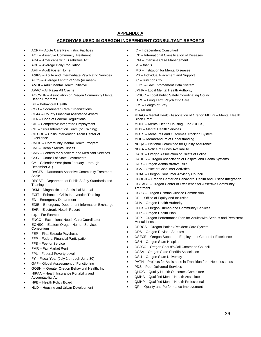# **APPENDIX A**

# **ACRONYMS USED IN OREGON INDEPENDENT CONSULTANT REPORTS**

- ACPF Acute Care Psychiatric Facilities
- ACT Assertive Community Treatment
- ADA Americans with Disabilities Act
- ADP Average Daily Population
- AFH Adult Foster Home
- A&IPS Acute and Intermediate Psychiatric Services
- ALOS Average Length of Stay (or mean)
- AMHI Adult Mental Health Initiative
- APAC All Payer All Claims
- AOCMHP Association or Oregon Community Mental Health Programs
- BH Behavioral Health
- CCO Coordinated Care Organizations
- CFAA County Financial Assistance Award
- CFR Code of Federal Regulations
- CIE Competitive Integrated Employment
- CIT Crisis Intervention Team (or Training)
- CITCOE Crisis Intervention Team Center of Excellence
- CMHP Community Mental Health Program
- CMI Chronic Mental Illness
- CMS Centers for Medicare and Medicaid Services
- CSG Council of State Govrnments
- CY Calendar Year (from January 1 through December 31)
- DACTS Dartmouth Assertive Community Treatment Scale
- DPSST Department of Public Safety Standards and **Training**
- DSM Diagnostic and Statistical Manual
- ECIT Enhanced Crisis Intervention Training
- ED Emergency Department
- EDIE Emergency Department Information Exchange
- EHR Electronic Health Record
- e.g. For Example
- ENCC Exceptional Needs Care Coordinator
- EOHSC Eastern Oregon Human Services Consortium
- FEP First Episode Psychosis
- FFP Federal Financial Participation
- FFS Fee for Service
- FMR Fair Market Rent
- FPL Federal Poverty Level
- FY Fiscal Year (July 1 through June 30)
- GAF Global Assessment of Functioning
- GOBHI Greater Oregon Behavioral Health, Inc.
- HIPAA Health Insurance Portability and Accountability Act
- HPB Health Policy Board
- HUD Housing and Urban Development
- IC Independent Consultant
- ICD International Classification of Diseases
- ICM Intensive Case Management
- $i.e.$  that is
- IMD Institution for Mental Diseases
- IPS Individual Placement and Support
- JC Junction City
- LEDS Law Enforcement Data System
- LMHA Local Mental Health Authority
- LPSCC Local Public Safety Coordinating Council
- LTPC Long Term Psychiatric Care
- LOS Length of Stay
- $M -$  Million
- MHAO Mental Health Association of Oregon MHBG Mental Health Block Grant
- MHHF Mental Health Housing Fund (OHCS)
- MHS Mental Health Services
- MOTS Measures and Outcomes Tracking System
- MOU Memorandum of Understanding
- NCQA National Committee for Quality Assurance
- NOFA Notice of Funds Availability
- OACP Oregon Association of Chiefs of Police
- OAHHS Oregon Association of Hospital and Health Systems
- OAR Oregon Administrative Rule
- OCA Office of Consumer Activities
- OCAC Oregon Consumer Advisory Council
- OCBHJI Oregon Center on Behavioral Health and Justice Integration
- OCEACT Oregon Center of Excellence for Assertive Community **Treatment**
- OCJC Oregon Criminal Justice Commission
- OEI Office of Equity and Inclusion
- OHA Oregon Health Authority
- OHCS Oregon Human and Community Services
- OHP Oregon Health Plan
- OPP Oregon Performance Plan for Adults with Serious and Persistent Mental Illness
- OPRCS Oregon Patient/Resident Care System
- ORS Oregon Revised Statutes
- OSECE Oregon Supported Employment Center for Excellence
- OSH Oregon State Hospital
- OSJCC Oregon Sheriff's Jail Command Council
- OSSA Oregon State Sheriffs Association
- OSU Oregon State University
- PATH Projects for Assistance in Transition from Homelessness
- PDS Peer Delivered Services
- QHOC Quality Health Outcomes Committee
- QMHA Qualified Mental Health Associate
- QMHP Qualified Mental Health Professional
- QPI Quality and Performance Improvement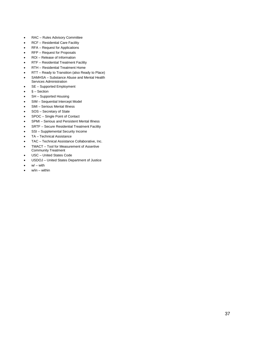- RAC Rules Advisory Committee
- RCF Residential Care Facility
- RFA Request for Applications
- RFP Request for Proposals
- ROI Release of Information
- RTF Residential Treatment Facility
- RTH Residential Treatment Home
- RTT Ready to Transition (also Ready to Place)
- SAMHSA Substance Abuse and Mental Health Services Administration
- SE Supported Employment
- $§ Section$
- SH Supported Housing
- SIM Sequential Intercept Model
- SMI Serious Mental Illness
- SOS Secretary of State
- SPOC Single Point of Contact
- SPMI Serious and Persistent Mental Illness
- SRTF Secure Residential Treatment Facility
- SSI Supplemental Security Income
- TA Technical Assistance
- TAC Technical Assistance Collaborative, Inc.
- TMACT Tool for Measurement of Assertive Community Treatment
- USC United States Code
- USDOJ United States Department of Justice
- $w'$  with
- $w/in within$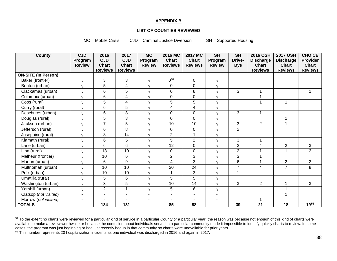#### <span id="page-37-0"></span>**APPENDIX B**

#### **LIST OF COUNTIES REVIEWED**

MC = Mobile Crisis CJD = Criminal Justice Diversion SH = Supported Housing

<span id="page-37-1"></span>

| <b>County</b>              | <b>CJD</b>               | 2016            | 2017                    | <b>MC</b>                | 2016 MC        | <b>2017 MC</b>      | <b>SH</b>      | <b>SH</b>      | 2016 OSH                | <b>2017 OSH</b>  | <b>CHOICE</b>  |
|----------------------------|--------------------------|-----------------|-------------------------|--------------------------|----------------|---------------------|----------------|----------------|-------------------------|------------------|----------------|
|                            | Program                  | <b>CJD</b>      | <b>CJD</b>              | Program                  | <b>Chart</b>   | <b>Chart</b>        | Program        | Drive-         | <b>Discharge</b>        | <b>Discharge</b> | Provider       |
|                            | <b>Review</b>            | <b>Chart</b>    | <b>Chart</b>            | <b>Review</b>            | <b>Reviews</b> | <b>Reviews</b>      | <b>Review</b>  | <b>Bys</b>     | <b>Chart</b>            | <b>Chart</b>     | <b>Chart</b>   |
|                            |                          | <b>Reviews</b>  | <b>Reviews</b>          |                          |                |                     |                |                | <b>Reviews</b>          | <b>Reviews</b>   | <b>Reviews</b> |
| <b>ON-SITE (In Person)</b> |                          |                 |                         |                          |                |                     |                |                |                         |                  |                |
| Baker (frontier)           | $\sqrt{}$                | 3               | 3                       | $\sqrt{ }$               | $0^{51}$       | $\mathbf 0$         | $\sqrt{ }$     |                |                         |                  |                |
| Benton (urban)             | $\sqrt{}$                | 5               | $\overline{\mathbf{4}}$ | $\sqrt{ }$               | 0              | $\boldsymbol{0}$    | $\sqrt{ }$     |                |                         |                  |                |
| Clackamas (urban)          | V                        | 6               | $\overline{5}$          | $\sqrt{}$                | 0              | 8                   | $\sqrt{ }$     | 3              |                         |                  | 1              |
| Columbia (urban)           | $\sqrt{ }$               | 6               | 4                       |                          | 0              | 0                   | $\sqrt{ }$     |                |                         |                  |                |
| Coos (rural)               | $\sqrt{}$                | 5               | 4                       | $\sqrt{2}$               | 5              | 5                   |                |                | $\overline{\mathbf{A}}$ | $\mathbf{1}$     |                |
| Curry (rural)              | $\sqrt{}$                | 6               | $\overline{5}$          | $\sqrt{ }$               | 4              | 4                   | $\sqrt{ }$     |                |                         |                  |                |
| Deschutes (urban)          | V                        | 6               | $\overline{8}$          | $\mathcal{L}$            | 0              | $\mathbf 0$         | $\sqrt{ }$     | $\overline{3}$ | $\mathbf 1$             |                  |                |
| Douglas (rural)            | $\sqrt{ }$               | 5               | 3                       | $\sqrt{ }$               | 0              | $\mathbf 0$         | $\sqrt{ }$     |                |                         | $\mathbf{1}$     |                |
| Jackson (urban)            | $\sqrt{}$                | $\overline{7}$  | 5                       | $\sqrt{ }$               | 10             | 10                  | $\sqrt{ }$     | 3              | $\overline{2}$          | $\mathbf{1}$     |                |
| Jefferson (rural)          | $\sqrt{}$                | $\overline{6}$  | $\overline{8}$          | $\sqrt{ }$               | 0              | $\pmb{0}$           | $\sqrt{ }$     | $\overline{2}$ |                         |                  |                |
| Josephine (rural)          | V                        | 8               | $\overline{14}$         | $\sqrt{}$                | $\overline{2}$ | $\overline{1}$      | V              |                |                         |                  |                |
| Klamath (rural)            | $\sqrt{ }$               | 6               | 5                       | $\sqrt{ }$               | 5              | $\overline{2}$      | $\sqrt{ }$     | $\mathbf{3}$   | 1                       |                  |                |
| Lane (urban)               | $\sqrt{}$                | 6               | 6                       | $\sqrt{2}$               | 12             | $\mathbf 0$         | $\sqrt{ }$     | $\overline{2}$ | 4                       | $\overline{2}$   | 3              |
| Linn (rural)               | $\sqrt{}$                | $\overline{13}$ | $\overline{10}$         | $\sqrt{ }$               | 0              | $\mathbf 0$         | $\sqrt{ }$     | $\overline{2}$ | 4                       | $\mathbf{1}$     | $\overline{2}$ |
| Malheur (frontier)         | $\sqrt{ }$               | 10              | 6                       | $\sqrt{ }$               | $\overline{2}$ | $\overline{3}$      | $\sqrt{ }$     | $\overline{3}$ | 1                       |                  |                |
| Marion (urban)             | $\sqrt{}$                | 6               | 9                       | $\sqrt{ }$               | 4              | 3                   | $\sqrt{ }$     | 6              | $\overline{ }$          | $\overline{2}$   | $\overline{2}$ |
| Multnomah (urban)          | $\sqrt{}$                | 10              | 10                      | $\sqrt{ }$               | 20             | 24                  | V              | $\overline{7}$ | 4                       | $\overline{7}$   | 8              |
| Polk (urban)               | $\sqrt{}$                | 10              | $\overline{10}$         | $\sqrt{}$                | $\mathbf{1}$   | $\overline{\omega}$ | V              | $\overline{1}$ |                         |                  |                |
| Umatilla (rural)           | √                        | 5               | 6                       | $\mathcal{L}$            | $\overline{5}$ | $\overline{5}$      | N              |                |                         |                  |                |
| Washington (urban)         | $\sqrt{}$                | 3               | 5                       | $\sqrt{ }$               | 10             | 14                  | $\sqrt{ }$     | $\sqrt{3}$     | $\overline{2}$          | $\mathbf{1}$     | 3              |
| Yamhill (urban)            | $\sqrt{ }$               | $\overline{2}$  | $\overline{1}$          | $\sqrt{}$                | 5              | 6                   | $\sqrt{}$      | $\mathbf{1}$   |                         | 1                |                |
| Clatsop (not visited)      | $\overline{\phantom{a}}$ | $\sim$          | $\blacksquare$          | $\overline{\phantom{a}}$ | $\blacksquare$ | $\sim$              | $\blacksquare$ |                |                         | $\overline{ }$   |                |
| Morrow (not visited)       | $\blacksquare$           |                 | $\overline{a}$          | $\blacksquare$           | $\overline{a}$ | ٠                   | $\blacksquare$ |                |                         |                  |                |
| <b>TOTALS</b>              |                          | 134             | 131                     |                          | 85             | 88                  |                | 39             | 21                      | 18               | $19^{52}$      |

<sup>&</sup>lt;sup>51</sup> To the extent no charts were reviewed for a particular kind of service in a particular County or a particular year, the reason was because not enough of this kind of charts were available to make a review worthwhile or because the confusion about individuals served in a particular community made it impossible to identify quickly charts to review. In some cases, the program was just beginning or had just recently begun in that community so charts were unavailable for prior years.

<sup>52</sup> This number represents 20 hospitalization incidents as one individual was discharged in 2016 and again in 2017.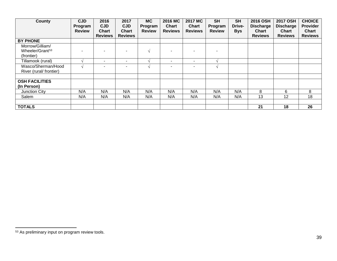<span id="page-38-0"></span>

| <b>County</b>                                                | <b>CJD</b><br>Program<br><b>Review</b> | 2016<br><b>CJD</b><br><b>Chart</b><br><b>Reviews</b> | 2017<br><b>CJD</b><br><b>Chart</b><br><b>Reviews</b> | <b>MC</b><br>Program<br><b>Review</b> | 2016 MC<br><b>Chart</b><br><b>Reviews</b> | <b>2017 MC</b><br><b>Chart</b><br><b>Reviews</b> | <b>SH</b><br>Program<br><b>Review</b> | <b>SH</b><br>Drive-<br><b>Bys</b> | 2016 OSH<br><b>Discharge</b><br><b>Chart</b><br><b>Reviews</b> | <b>2017 OSH</b><br><b>Discharge</b><br><b>Chart</b><br><b>Reviews</b> | <b>CHOICE</b><br><b>Provider</b><br><b>Chart</b><br><b>Reviews</b> |
|--------------------------------------------------------------|----------------------------------------|------------------------------------------------------|------------------------------------------------------|---------------------------------------|-------------------------------------------|--------------------------------------------------|---------------------------------------|-----------------------------------|----------------------------------------------------------------|-----------------------------------------------------------------------|--------------------------------------------------------------------|
| <b>BY PHONE</b>                                              |                                        |                                                      |                                                      |                                       |                                           |                                                  |                                       |                                   |                                                                |                                                                       |                                                                    |
| Morrow/Gilliam/<br>Wheeler/Grant <sup>53</sup><br>(frontier) | -                                      |                                                      |                                                      | $\mathcal{N}$                         |                                           |                                                  |                                       |                                   |                                                                |                                                                       |                                                                    |
| Tillamook (rural)                                            |                                        |                                                      |                                                      |                                       | $\overline{\phantom{a}}$                  |                                                  | $\triangleleft$                       |                                   |                                                                |                                                                       |                                                                    |
| Wasco/Sherman/Hood<br>River (rural/ frontier)                |                                        |                                                      |                                                      |                                       |                                           |                                                  |                                       |                                   |                                                                |                                                                       |                                                                    |
|                                                              |                                        |                                                      |                                                      |                                       |                                           |                                                  |                                       |                                   |                                                                |                                                                       |                                                                    |
| <b>OSH FACILITIES</b><br>(In Person)                         |                                        |                                                      |                                                      |                                       |                                           |                                                  |                                       |                                   |                                                                |                                                                       |                                                                    |
| Junction City                                                | N/A                                    | N/A                                                  | N/A                                                  | N/A                                   | N/A                                       | N/A                                              | N/A                                   | N/A                               | 8                                                              | 6                                                                     | 8                                                                  |
| Salem                                                        | N/A                                    | N/A                                                  | N/A                                                  | N/A                                   | N/A                                       | N/A                                              | N/A                                   | N/A                               | 13                                                             | 12                                                                    | 18                                                                 |
| <b>TOTALS</b>                                                |                                        |                                                      |                                                      |                                       |                                           |                                                  |                                       |                                   | 21                                                             | 18                                                                    | 26                                                                 |

 <sup>53</sup> As preliminary input on program review tools.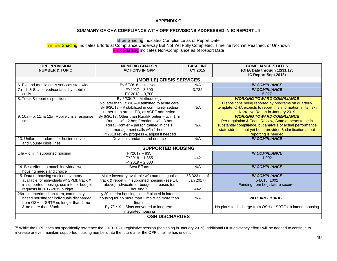#### <span id="page-39-0"></span>**APPENDIX C**

# **SUMMARY OF OHA COMPLIANCE WITH OPP PROVISIONS ADDRESSED IN IC REPORT #4**

**Blue** Shading Indicates Compliance as of Report Date

**Yellow** Shading Indicates Efforts at Compliance Underway But Not Yet Fully Completed, Timeline Not Yet Reached, or Unknown **Pink** Shading Indicates Non-Compliance as of Report Date

| <b>OPP PROVISION</b>                          | <b>NUMERIC GOALS &amp;</b>                           | <b>BASELINE</b> | <b>COMPLIANCE STATUS</b>                                     |  |  |  |  |  |  |
|-----------------------------------------------|------------------------------------------------------|-----------------|--------------------------------------------------------------|--|--|--|--|--|--|
| <b>NUMBER &amp; TOPIC</b>                     | <b>ACTIONS IN OPP</b>                                | CY 2015         | (OHA Data through 12/31/17;                                  |  |  |  |  |  |  |
|                                               |                                                      |                 | IC Report Sept 2018)                                         |  |  |  |  |  |  |
| (MOBILE) CRISIS SERVICES                      |                                                      |                 |                                                              |  |  |  |  |  |  |
| 6. Expand mobile crisis services statewide    | By $6/30/18 -$ statewide                             | N/A             | <b>IN COMPLIANCE</b>                                         |  |  |  |  |  |  |
| $7a - b$ & 8. # served/contacts by mobile     | $FY2017 - 3,500$                                     | 3,732           | <b>IN COMPLIANCE</b>                                         |  |  |  |  |  |  |
| crisis                                        | FY 2018 - 3,700                                      |                 | 5,027                                                        |  |  |  |  |  |  |
| 8. Track & report dispositions                | By $6/30/17$ - Methodology                           |                 | <b>WORKING TOWARD COMPLIANCE</b>                             |  |  |  |  |  |  |
|                                               | No later than $1/1/18 - #$ admitted to acute care    |                 | Dispositions being reported by programs on quarterly         |  |  |  |  |  |  |
|                                               | By $6/30/18 - #$ stabilized in community setting     | N/A             | template; OHA expects to report this information in its next |  |  |  |  |  |  |
|                                               | rather than arrest, ED, or ACPF admission            |                 | Narrative Report in January 2019                             |  |  |  |  |  |  |
| 9, 10a - b, 11, & 12a. Mobile crisis response | By $6/30/17$ : Other than Rural/Frontier – w/in 1 hr |                 | <b>WORKING TOWARD COMPLIANCE</b>                             |  |  |  |  |  |  |
| times                                         | Rural – w/in 2 hrs; Frontier – w/in 3 hrs            |                 | Per regulation & Team Review, State appears to be in         |  |  |  |  |  |  |
|                                               | Rural/Frontier - person trained in crisis            | N/A             | substantial compliance, but analysis of actual performance   |  |  |  |  |  |  |
|                                               | management calls w/in 1 hour                         |                 | statewide has not yet been provided & clarification about    |  |  |  |  |  |  |
|                                               | FY2018 review progress & adjust if needed            |                 | reporting is needed                                          |  |  |  |  |  |  |
| 13. Uniform standards for hotline services    | Develop standards and enforce                        | N/A             | <b>IN COMPLIANCE</b>                                         |  |  |  |  |  |  |
| and County crisis lines                       |                                                      |                 |                                                              |  |  |  |  |  |  |
|                                               | <b>SUPPORTED HOUSING</b>                             |                 |                                                              |  |  |  |  |  |  |
| $14a - c.$ # in supported housing             | $FY2017 - 835$                                       |                 | <b>IN COMPLIANCE</b>                                         |  |  |  |  |  |  |
|                                               | $FY2018 - 1,355$                                     | 442             | 1,002                                                        |  |  |  |  |  |  |
|                                               | $FY2019 - 2,000$                                     |                 |                                                              |  |  |  |  |  |  |
| 14. Best efforts to match individual w/       | <b>Best Efforts</b>                                  | N/A             | <b>IN COMPLIANCE</b>                                         |  |  |  |  |  |  |
| housing needs and choice                      |                                                      |                 |                                                              |  |  |  |  |  |  |
| 15. Data re housing stock or inventory        | Make inventory available w/o numeric goals;          | 53,323 (as of   | <b>IN COMPLIANCE</b>                                         |  |  |  |  |  |  |
| available for individuals w/ SPMI; track #    | track & report # in supported housing (see 14.       | Jan 2017);      | 54,615; 1002                                                 |  |  |  |  |  |  |
| in supported housing; use info for budget     | above); advocate for budget increases for            |                 | Funding from Legislature secured                             |  |  |  |  |  |  |
| requests in 2017-2019 budget                  | housing <sup>54</sup>                                | 442             |                                                              |  |  |  |  |  |  |
| 26a - e. Interim, short-term, community-      | $\leq$ 20 interim housing slots; # placed in interim |                 |                                                              |  |  |  |  |  |  |
| based housing for individuals discharged      | housing for no more than 2 mo & no more than         | N/A             | <b>NOT APPLICABLE</b>                                        |  |  |  |  |  |  |
| from OSH or SRTF no longer than 2 mo          | $5/$ unit:                                           |                 |                                                              |  |  |  |  |  |  |
| & no more than 5/unit                         | By 7/1/19 - Slots converted to long-term             |                 | No plans to discharge from OSH or SRTFs to interim housing   |  |  |  |  |  |  |
|                                               | integrated housing                                   |                 |                                                              |  |  |  |  |  |  |
| <b>OSH DISCHARGES</b>                         |                                                      |                 |                                                              |  |  |  |  |  |  |

<sup>54</sup> While the OPP does not specifically reference the 2019-2021 Legislative session (beginning in January 2019), additional OHA advocacy efforts will be needed to continue to increase or even maintain supported housing numbers into the future after the OPP timeline has ended.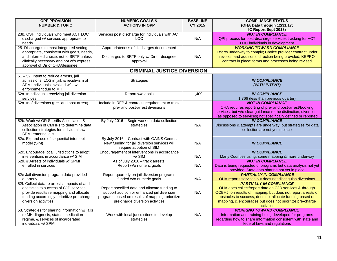| <b>OPP PROVISION</b><br><b>NUMBER &amp; TOPIC</b>                                                                                                                                                                 | <b>NUMERIC GOALS &amp;</b><br><b>ACTIONS IN OPP</b>                                                                                                                                 | <b>BASELINE</b><br><b>CY 2015</b> | <b>COMPLIANCE STATUS</b><br>(OHA Data through 12/31/17;<br>IC Report Sept 2018)                                                                                                                                                                                                                |
|-------------------------------------------------------------------------------------------------------------------------------------------------------------------------------------------------------------------|-------------------------------------------------------------------------------------------------------------------------------------------------------------------------------------|-----------------------------------|------------------------------------------------------------------------------------------------------------------------------------------------------------------------------------------------------------------------------------------------------------------------------------------------|
| 23b. OSH individuals who meet ACT LOC<br>discharged w/ services appropriate to<br>needs                                                                                                                           | Services post discharge for individuals with ACT<br><b>LOC</b>                                                                                                                      | N/A                               | <b>NOT IN COMPLIANCE</b><br>QPI process for post-discharge services tracking for ACT<br>LOC individuals in development                                                                                                                                                                         |
| 25. Discharges to most integrated setting<br>appropriate, consistent with goals, needs,<br>and informed choice; not to SRTF unless<br>clinically necessary and not w/o express<br>approval of Dir of OHA/designee | Appropriateness of discharges documented<br>Discharges to SRTF only w/ Dir or designee<br>approval                                                                                  | N/A                               | <b>WORKING TOWARD COMPLIANCE</b><br>Efforts underway to comply; Choice provider contract under<br>revision and additional direction being provided; KEPRO<br>contract in place; forms and processes being revised                                                                              |
|                                                                                                                                                                                                                   | <b>CRIMINAL JUSTICE DIVERSION</b>                                                                                                                                                   |                                   |                                                                                                                                                                                                                                                                                                |
| 51 - 52. Intent to reduce arrests, jail<br>admissions, LOS in jail, & recidivism of<br>SPMI individuals involved w/ law<br>enforcement due to MH                                                                  | Strategies                                                                                                                                                                          |                                   | <b>IN COMPLIANCE</b><br>(WITH INTENT)                                                                                                                                                                                                                                                          |
| 52a. # Individuals receiving jail diversion<br>services                                                                                                                                                           | Report w/o goals                                                                                                                                                                    | 1,409                             | <b>IN COMPLIANCE</b><br>1,766 (less than previous quarter)                                                                                                                                                                                                                                     |
| 52a. # of diversions (pre- and post-arrest)                                                                                                                                                                       | Include in RFP & contracts requirement to track<br>pre- and post-arrest diversions                                                                                                  |                                   | <b>NOT IN COMPLIANCE</b><br>OHA requires reporting of pre- and post-arrest/booking<br>services, but w/o clear guidance re the distinction; diversions<br>(as opposed to services) not specifically defined or reported                                                                         |
| 52b. Work w/ OR Sheriffs Association &<br>Association of CMHPs to determine data<br>collection strategies for individuals w/<br>SPMI entering jails                                                               | By July 2016 - Begin work on data collection<br>strategies                                                                                                                          | N/A                               | <b>IN COMPLIANCE</b><br>Discussions & attempts are underway, but strategies for data<br>collection are not yet in place                                                                                                                                                                        |
| 52c. Expand use of sequential intercept<br>model (SIM)                                                                                                                                                            | By July 2016 - Contract with GAINS Center;<br>New funding for jail diversion services will<br>require adoption of SIM                                                               | N/A                               | <b>IN COMPLIANCE</b>                                                                                                                                                                                                                                                                           |
| 52c. Encourage local jurisdictions to adopt<br>interventions in accordance w/ SIM                                                                                                                                 | Encouragement of interventions in accordance<br>w/SIM                                                                                                                               | N/A                               | <b>IN COMPLIANCE</b><br>Many Counties using; some mapping & more underway                                                                                                                                                                                                                      |
| 52d. # Arrests of individuals w/ SPMI<br>enrolled in services                                                                                                                                                     | As of July 2016 - track arrests;<br>Report w/o numeric goals                                                                                                                        | N/A                               | <b>NOT IN COMPLIANCE</b><br>Data is being requested of programs but data analysis not yet<br>provided; State data sharing not yet in place                                                                                                                                                     |
| 52e Jail diversion program data provided<br>quarterly                                                                                                                                                             | Report quarterly on jail diversion programs<br>funded w/o numeric goals                                                                                                             | N/A                               | <b>PARTIALLY IN COMPLIANCE</b><br>OHA reports services but does not distinguish diversions                                                                                                                                                                                                     |
| 52f. Collect data re arrests, impacts of and<br>obstacles to success of CJD services;<br>provide results re mapping and allocate<br>funding accordingly; prioritize pre-charge<br>diversion activities            | Report specified data and allocate funding to<br>support addition or enhanced jail diversion<br>programs based on results of mapping; prioritize<br>pre-charge diversion activities | N/A                               | <b>PARTIALLY IN COMPLIANCE</b><br>OHA does collect/report data on CJD services & through<br>OCBHJI on results of mapping, but does not report arrests or<br>obstacles to success, does not allocate funding based on<br>mapping, & encourages but does not prioritize pre-charge<br>activities |
| 53. Strategies for sharing information w/ jails<br>re MH diagnosis, status, medication<br>regime, & services of incarcerated<br>individuals w/ SPMI                                                               | Work with local jurisdictions to develop<br>strategies                                                                                                                              | N/A                               | <b>WORKING TOWARD COMPLIANCE</b><br>Information and training being developed for programs<br>regarding how to share information consistent with state and<br>federal laws and regulations                                                                                                      |